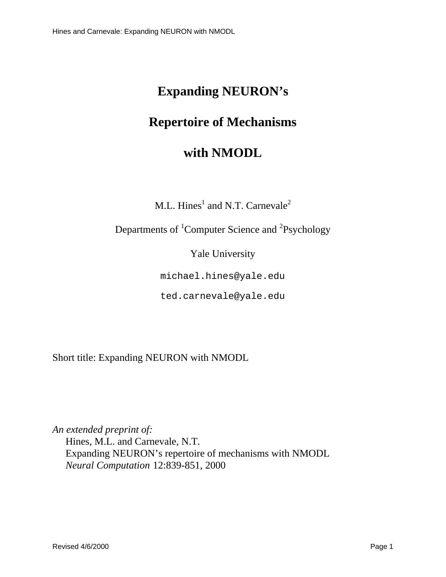# **Expanding NEURON's**

# **Repertoire of Mechanisms**

# **with NMODL**

 $M.L. Hines$ <sup>1</sup>and N.T. Carnevale<sup>2</sup>

Departmentsof <sup>1</sup>ComputerScience and <sup>2</sup>Psychology

Yale University

michael.hines@yale.edu

ted.carnevale@yale.edu

Shorttitle: Expanding NEURON with NMODL

*An extended preprintof:* Hines, M.L. and Carnevale, N.T. Expanding NEURON's repertoire of mechanisms with NMODL *Neural Computation* 12:839-851, 2000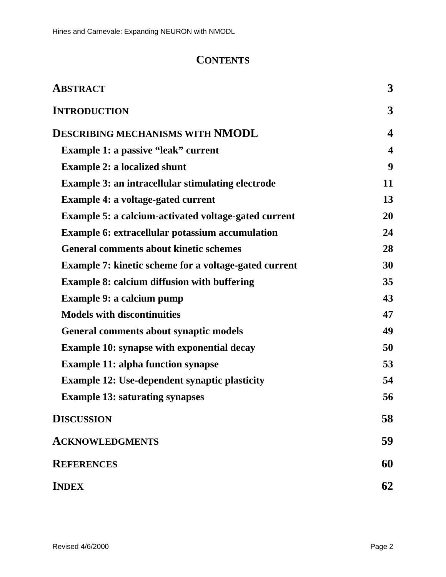# **CONTENTS**

| <b>ABSTRACT</b>                                  | 3                |
|--------------------------------------------------|------------------|
| <b>INTRODUCTION</b>                              | 3                |
| DESCRIBINGMECHANISMSWITH NMODL                   | 4                |
| Example1:apassive"leak"current                   | $\boldsymbol{4}$ |
| Example2:alocalizedshunt                         | 9                |
| Example3:anintracellularstimulatingelectrode     | 11               |
| Example4:avoltage-gatedcurrent                   | 13               |
| Example5:acalcium-activatedvoltage-gatedcurrent  | 20               |
| Example6:extracellularpotassiumaccumulation      | 24               |
| Generalcommentsaboutkineticschemes               | 28               |
| Example7: kineticschemeforavoltage-gated current | 30               |
| Example8:calciumdiffusionwithbuffering           | 35               |
| Example9:acalciumpump                            | 43               |
| <b>Modelswithdiscontinuities</b>                 | 47               |
| Generalcommentsaboutsynapticmodels               | 49               |
| Example10:synapsewithexponentialdecay            | 50               |
| <b>Example11:alphafunctionsynapse</b>            | 53               |
| Example12:Use-dependentsynapticplasticity        | 54               |
| <b>Example13:saturatingsynapses</b>              | 56               |
| <b>DISCUSSION</b>                                | 58               |
| <b>ACKNOWLEDGMENTS</b>                           | 59               |
| <b>REFERENCES</b>                                | 60               |
| <b>INDEX</b>                                     | 62               |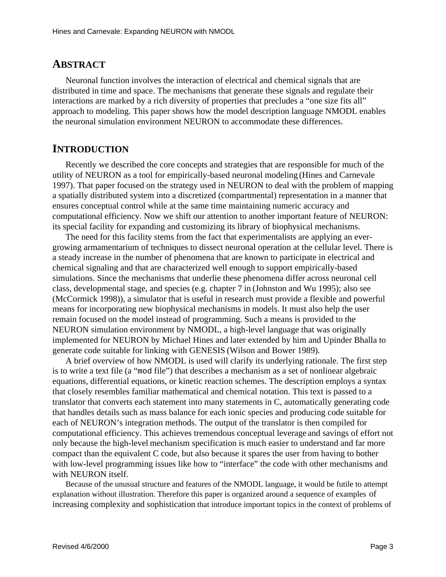## **ABSTRACT**

Neuronal function involves the interaction of electrical and chemical signals that are distributed in time and space. The mechanisms that generate these signals and regulate their interactions are marked by a rich diversity of properties that precludes a "one size fits all" approachtomodeling. This paper shows how the model description language NMODL enables the neuronal simulation environment NEURON to accommodate these differences.

# **INTRODUCTION**

Recently we described the core concepts and strategies that are responsible for much of the utility of NEURON as a tool for empirically-based neuronal modeling (Hines and Carnevale 1997). That paper focused on the strategy used in NEURON to deal with the problem of mapping aspatially distributed system into a discretized (compartmental) representation in a manner that ensures conceptual control while at the same time maintaining numeric accuracy and computational efficiency. Now we shift our attention to another important feature of NEURON: its special facility for expanding and customizing its library of biophysical mechanisms.

The need for this facility stems from the fact that experimental is tsare applying an evergrowing armamentarium of techniques to dissect neuronal operation at the cellular level. There is a steady increase in the number of phenomena that are known to participate in electrical and chemical signaling and that are characterized well enough to supportempirically-based simulations. Since the mechanisms that under liet hese phenomena differ across neuronal cell class, developmental stage, and species (e.g. chapter 7 in (Johnston and Wu 1995) ; also see (McCormick 1998) ), a simulator that is useful in research must provide a flexible and powerful means for incorporating new biophysical mechanisms in models. It must also help the user remainfocused on the model instead of programming. Such a means is provided to the NEURON simulation environment by NMODL, a high-level language that was originally implemented for NEURON by Michael Hines and later extended by him and Upinder Bhalla to generate codes uitable for linking with GENESIS (Wilson and Bower 1989).

A brief overview of how NMODL is used will clarify its underlying rationale. The first step istowrite a text file (a " mod file ") that describes a mechanism as a set of nonlinear algebraic equations, differential equations, or kinetic reactions chemes. The description employs as yntax that closely resembles familiar mathematical and chemical notation. This text is passed to a translator that converts each statement into many statements in C, automatically generating code that handles details such as mass balance for each ionic species and producing codes uitable for each of NEURON's integration methods. The output of the translator is then compiled for computational efficiency. This achieves tremendous conceptual leverage and savings of effort not only because the high-level mechanism specification is much easier to understand and far more compact than the equivalent C code, but also because it spares the user from having to bother with low-level programming issues like how to "interface" the code with other mechanisms and with NEURON itself.

Because of the unusual structure and features of the NMODL language, it would be futile to attempt explanation without illustration. Therefore this paper is organized around a sequence of examples of increasing complexity and sophistication that introduce important topics in the context of problems of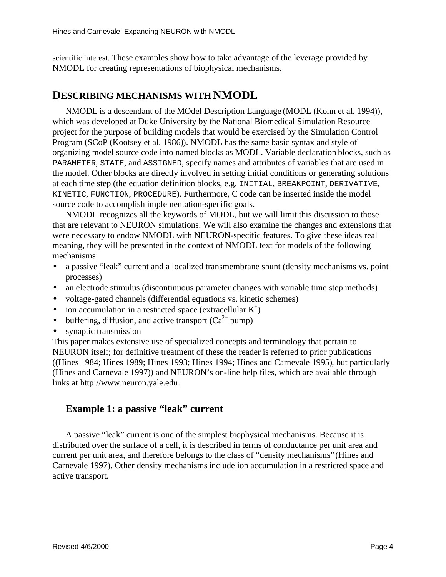scientific interest. These examples show how to take advantage of the leverage provided by NMODL for creating representations of biophysical mechanisms.

## **DESCRIBING MECHANISMS WITH NMODL**

NMODL is a descendant of the MOdel Description Language (MODL (Kohnetal. 1994)), which was developed at Duke University by the National Biomedical Simulation Resource project for the purpose of building models that would be exercised by the Simulation Control Program (SCoP (Kootsey et al. 1986) ). NMODL has the same basic syntax and style of organizing models our cecode into named blocks as MODL. Variable declaration blocks, such as PARAMETER, STATE, and ASSIGNED, specify names and attributes of variables that are used in the model. Other blocks are directly involved insetting initial conditions or generating solutions ateachtimestep (the equation definition blocks, e.g. INITIAL, BREAKPOINT, DERIVATIVE, KINETIC, FUNCTION, PROCEDURE). Furthermore, Ccodecan be inserted inside the model source code to accomplish implementation-specific goals.

NMODL recognizes all the keywords of MODL, but we will limit this discussed in such that the solution set of MODL,  $b$ ut we will limit this discussed in the solution of the set of the set of the set of the set of the set o that are relevant to NEURON simulations. We will also examine the changes and extensions that werenecessarytoendowNMODL with NEURON-specific features. To give these ideasreal meaning, they will be presented in the context of NMODL text for models of the following mechanisms:

- a passive "leak" current and a localized transmembranes hunt (density mechanisms vs. point processes)
- an electrodestimulus (discontinuous parameter changes with variable times tepmethods)
- voltage-gated channels (differential equations vs. kinetics chemes)
- $\bullet$  ion accumulation in a restricted space (extracellular K
- buffering, diffusion, and active transport  $(Ca^{-2+}pump)$
- synaptic transmission

This paper makes extensive use of specialized concepts and terminology that pertain to NEURONitself; for definitive treatment of these the reader is referred to prior publications ((Hines 1984; Hines 1989; Hines 1993; Hines 1994; Hines and Carnevale 1995) , but particularly (Hines and Carnevale 1997) ) and NEURON's on-line help files, which are available through links at http://www.neuron.yale.edu.

 $\left($ <sup>+</sup>

### Example1:apassive"leak" current

A passive "leak" current is one of the simplest biophysical mechanisms. Because it is distributed over the surface of a cell, it is described in terms of conductance per unitare a and current per unit area, and therefore belongs to the class of "density mechanisms" (Hines and Carnevale 1997) . Other density mechanisms include ion accumulation in a restricted space and active transport.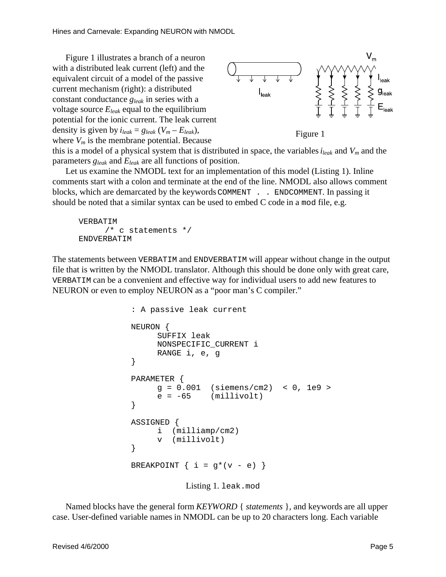Figure 1 illustrates a branch of a neuron with a distributed leak current (left) and the equivalent circuit of a model of the passive current mechanism (right): a distributed constant conductance *g*<sub>leak</sub> inseries with a voltagesource  $E_{leak}$  equal to the equilibrium potential for the ionic current. The leak current density is given by  $i_{leak} = g_{leak} ( V_m - E_{leak} )$ , where  $V_m$  is the membrane potential. Because



Figure1

this is a model of a physical system that is distributed in space, the variables *i*<sub>leak</sub> and *V*<sub>*m*</sub> and the parameters *gleak* and *Eleak* are all functions of position.

Let us examine the NMODL text for an implementation of this model (Listing 1). In line comments start with a colon and terminate at the end of the line. NMODL also allows comment blocks, which are demarcated by the keywords COMMENT . . ENDCOMMENT. In passing it should be noted that asimilar syntax can be used to embed C code in a modfile, e.g.

```
VERBATIM
     /* c statements */
ENDVERBATIM
```
The statements between VERBATIM and ENDVERBATIM will appear without change in the output file that is written by the NMODL translator. Although this should be done only with great care, VERBATIM can be a convenient and effective way for individual users to add new features to NEURON or even to employ NEURON as a "poor man's C compiler."

```
: A passive leak current
NEURON {
     SUFFIX leak
     NONSPECIFIC_CURRENT i
     RANGE i, e, g
}
PARAMETER {
     g = 0.001 (siemens/cm2) < 0, 1e9 >
     e = -65 (millivolt)
}
ASSIGNED {
     i (milliamp/cm2)
     v (millivolt)
}
BREAKPOINT \{ i = g^*(v - e) \}Listing1. leak.mod
```
Named blocks have the general form *KEYWORD* { *statements* }, and keywords are all upper case. User-defined variable names in NMODL can be up to 20 characters long. Each variable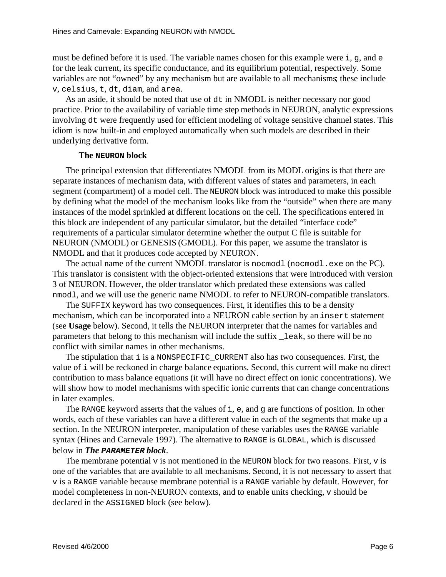must be defined before it is used. The variable names chosen for this example were i, q, and  $\epsilon$ for the leak current, its specific conductance, and its equilibrium potential, respectively. Some variables are not "owned" by any mechanism but are available to all mechanisms ; these include v, celsius, t, dt, diam, and area.

As an aside, it should be noted that use of dtin NMODL is neither necessary nor good practice. Prior to the availability of variable timestep methods in NEURON, analytic expressions involving dtwere frequently used for efficient modeling of voltages ensitive channel states. This idiomisnow built-in and employed automatically when such models are described in their underlying derivative form.

#### **The NEURON block**

The principal extension that differentiates NMODL from its MODL origins is that there are separate instances of mechanism data, with different values of states and parameters, in each segment (compartment) of a model cell. The NEURON block was introduced to make this possible by defining what the model of the mechanism looks like from the "outside" when the reargementy instances of the models prinkled at different locations on the cell. The specifications entered in this block are independent of any particular simulator, but the detailed "interface code" requirements of a particular simulator determine whether the output C file is suitable for NEURON(NMODL) or GENESIS (GMODL). For this paper, we assume the translator is NMODL and that it produces code accepted by NEURON.

The actual name of the current NMODL translator is nocmodl ( nocmodl . exe on the PC). This translator is consistent with the object-oriented extensions that were introduced with version 3ofNEURON. However, the older translator which predated these extensions was called nmodl, and we will use the generic name NMODL to refer to NEURON-compatible translators.

The SUFFIX keyword has two consequences. First, it identifies this to be a density mechanism, which can be incorporated into a NEURON cable section by an insert statement (see Usagebelow). Second, ittells the NEURON interpreter that the names for variables and parameters that belong to this mechanism will include the suffix  $\qquad$  leak, so there will be no conflict with similar names in other mechanisms.

The stipulation that i is a NONSPECIFIC\_CURRENT also has two consequences. First, the value of i will be reckoned in charge balance equations. Second, this current will make no direct contribution to mass balance equations (it will have no direct effect onionic concentrations). We will show how to model mechanisms with specific ionic currents that can change concentrations inlaterexamples.

The RANGE keyword asserts that the values of i, e, and gare functions of position. In other words, each of these variables can have a different value in each of the segments that make up a section. In the NEURON interpreter, manipulation of the sevariables uses the RANGE variable syntax (Hinesand Carnevale 1997) . The alternative to RANGE is GLOBAL, which is discussed below in *The* **PARAMETER** *block* .

The membrane potential visnot mentioned in the NEURON block for two reasons. First, vis one of the variables that are available to all mechanisms. Second, it is not necessary to assert that visa RANGE variable because membrane potential is a RANGE variable by default. However, for model completeness in non-NEURON contexts, and to enable units checking, v should be declared in the ASSIGNED block (see below).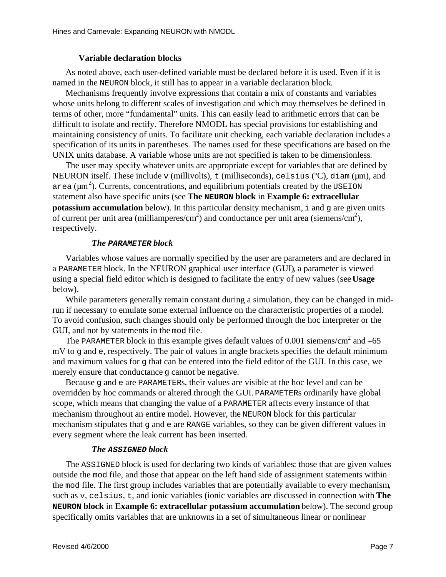### **Variable declaration blocks**

Asn oted above, each user-defined variable must be declared before it is used. Even if it is named in the NEURON block, it still has to appear in a variable declaration block

Mechanisms frequently involve expressions that contain a mix of constants and variables whose units belong to different scales of investigation and which may themselves be defined in terms of other, more "fundamental" units. This can easily lead to arithmetic errors that can be difficult to isolate and rectify. Therefore NMODL has special provisions for establishing and maintaining consistency of units . To facilitate unit checking, each variable declaration includes a specification of its units in parent heses. The name sused for the sespecifications are based on the UNIX units database . A variable whose units are not specified is taken to be dimensionless

The user may specify whatever units are appropriate except for variables that are defined by NEURONitself. These include v(millivolts), t (milliseconds), celsius ( ${}^{\circ}$ C), diam ( $\mu$ m), and  $\alpha$  area ( $\mu$ m <sup>2</sup>). Currents, concentrations, and equilibrium potentials created by the USEION statement also have specific units (see **The NEURON** block in **Example 6: extrace llular potassium accumulation** below). In this particular density mechanism, i and garegiven units of current per unitarea (milliamperes/cm  $^{2}$ ) and conductance per unit area (siemens/cm  $^{2}$ ). respectively.

#### *The* **PARAMETER** *block*

Variables whose values are normally specified by the user are parameters and are declared in a PARAMETER block . In the NEURON graphical user interface (GUI) , a parameter is viewed using a special field editor which is designed to facilitate the entry of new values (see **Usage** below).

While parameters generally remain constant during a simulation, they can be changed in midrunifnecessary to emulate some external influence on the characteristic properties of a model. To avoid confusion, such changes should only be performed through the hoc interpreter or the GUI, and not by statements in the modfile .

The PARAMETER block in this example gives default values of 0.001 siemens/cm  $2$ and –65 mV to g and e, respectively. The pair of values in angle brackets specifies the default minimum and maximum values for q that can be entered into the field editor of the GUI. In this case, we merely ensure that conductance g cannot be negative.

Because gand eare PARAMETERs, their values are visible at the hoclevel and can be overridden by hoc commands or altered through the GUI. PARAMETERS ordinarily have global scope, which means that changing the value of a PARAMETER affects every instance of that mechanism throughout an entire model. However, the NEURON block for this particular mechanism stipulates that gand eare RANGE variables, so the year begiven different values in every segment where the leak current has been inserted.

### *The* **ASSIGNED** *block*

The ASSIGNED block is used for declaring two kinds of variables : those that are given values outside the modfile, and those that appear on the left handside of assignment statements within the modfile. The first group includes variables that are potentially available to every mechanism suchas v, celsius, t, and ionic variables (ionic variables are discussed in connection with **The NEURONblock** in **Example6: extracellular potassium accumulation** below). The second group specifically omits variables that are unknowns in a set of simultaneous linear or nonlinear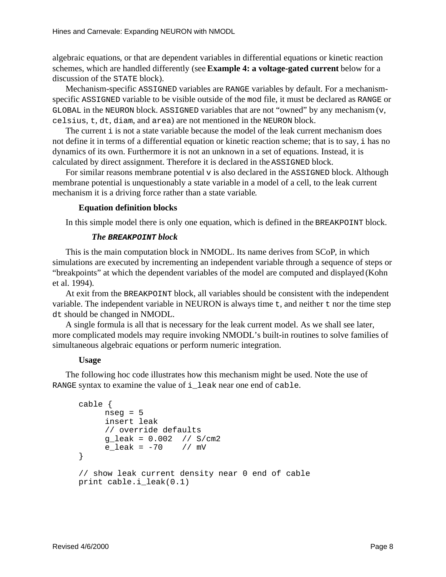algebraic equations , or that are dependent variables in differential equations or kinetic reaction schemes, which are handled differently (see **Example 4: a voltage-gated current** below for a discussion of the STATE block).

Mechanism-specific ASSIGNED variables are RANGE variables by default. For a mechanismspecific ASSIGNED variable to be visible outside of the modfile, it must be declared as RANGE or GLOBAL in the NEURON block. ASSIGNED variables that are not "owned" by any mechanism ( $v$ , celsius, t, dt, diam, and area) are not mentioned in the NEURON block.

The current is not a state variable because the model of the leak current mechanism does not define it interms of a differential equation or kinetic reaction scheme; that is to say, i has no dynamics of its own. Furthermore it is not an unknown in a set of equations. Instead, it is calculated by direct assignment. Therefore it is declared in the ASSIGNED block.

For similar reasons membrane potential visalso declared in the ASSIGNED block. Although membrane potential is unquestionably a state variable in a model of a cell, to the leak current mechanismitis a driving force rather than a state variable

#### **Equation definition blocks**

In this simple model there is only one equation, which is defined in the BREAKPOINT block.

#### *The* **BREAKPOINT** *block*

This is the main computation block in NMODL. Its name derives from SCoP , in which simulations are executed by incrementing an independent variable through a sequence of steps or "breakpoints" at which the dependent variables of the model are computed and displayed (Kohn et al. 1994).

At exit from the BREAKPOINT block, all variables should be consistent with the independent variable. The independent variable in NEURON is always time t, and neither t northe time step dt should be changed in NMODL.

Asingleformulais all that is necessary for the leak current model. As we shall see later, more complicated models may require invoking NMODL's built-in routines to solve families of simultaneous algebraic equations or perform numeric integration.

#### **Usage**

The following hoc code illustrates how this mechanism might be used. Note the use of RANGE syntax to examine the value of i\_leak near one end of cable.

```
cable {
     nseq = 5insert leak
     // override defaults
     g_leak = 0.002 // S/cm2
     e leak = -70 // mV
}
// show leak current density near 0 end of cable
print cable.i_leak(0.1)
```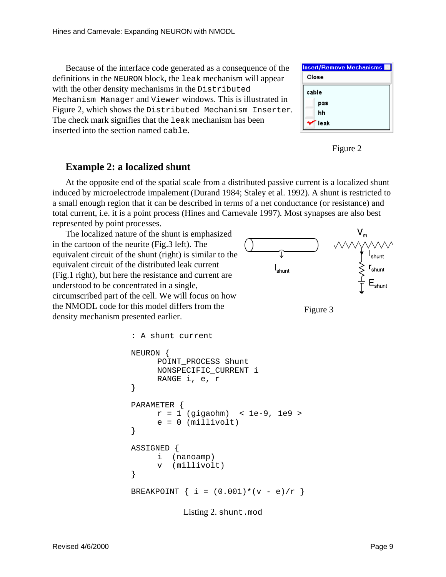Because of the interface code generated as a consequence of the definitions in the NEURON block, the leak mechanism will appear with the other density mechanisms in the Distributed Mechanism Managerand Viewer windows. This is illustrated in Figure2, which shows the Distributed Mechanism Inserter. The check marks ignifies that the leak mechanism has been inserted into the section named cable.





### **Example2:alocalized shunt**

At the opposite end of the spatial scale from a distributed passive current is a localized shunt induced by microelectrode impalement (Durand 1984; Staley et al. 1992) . A shunt is restricted to asmall enough region that it can be described in terms of a net conductance (or resistance) and total current, i.e. it is a point process (Hines and Carnevale 1997) . Most synapses are also best represented by point processes.

The localized nature of the shuntisemphasized in the cartoon of the neurite (Fig.3 left). The equivalent circuit of the shunt (right) is similar to the equivalent circuit of the distributed leak current (Fig.1 right), but here the resistance and current are understood to be concentrated in a single, circumscribed part of the cell. We will focus on how the NMODL code for this model differs from the density mechanism presented earlier.





```
: A shunt current
NEURON {
     POINT_PROCESS Shunt
     NONSPECIFIC_CURRENT i
     RANGE i, e, r
}
PARAMETER {
     r = 1 (qiqaohm) < 1e-9, 1e9 >
     e = 0 (millivolt)
}
ASSIGNED {
     i (nanoamp)
     v (millivolt)
}
BREAKPOINT \{ i = (0.001) * (v - e)/r \}
```
Listing 2. shunt.mod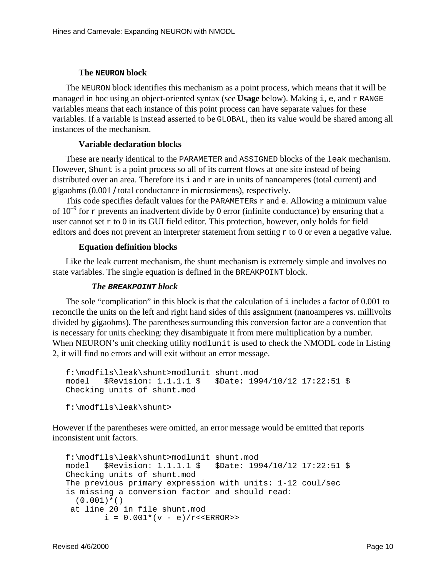#### **The NEURON block**

The NEURON block identifies this mechanism as a point process, which means that it will be managed inhocusing an object-oriented syntax (see Usagebelow). Making i, e, and r RANGE variables means that each instance of this point process can have separate values for these variables. If a variable is instead asserted to be GLOBAL, then its value would be shared among all instances of the mechanism.

### **Variable declaration blocks**

These are nearly identical to the PARAMETER and ASSIGNED blocks of the leak mechanism. However, Shunt is a point process so all of its current flows at one site instead of being distributed over an area. Therefore its i and rare in units of nanoamperes (total current) and gigaohms (0.001 / total conductance in microsiemens), respectively.

This codes pecifies default values for the PARAMETERS r and e. Allowing a minimum value of 10<sup> $-9$ </sup> for r prevents animadvertent divide by 0 error (infinite conductance) by ensuring that a usercannot set r to 0 inits GUI field editor . This protection, however, only holds for field editors and does not prevent an interpreter statement from setting rto 0 or even anegative value.

### **Equation definition blocks**

Like the leak current mechanism, the shunt mechanism is extremely simple and involves no state variables . The single equation is defined in the BREAKPOINT block.

#### *The* **BREAKPOINT** *block*

The sole "complication" in this block is that the calculation of includes a factor of 0.001 to reconcile the units on the left and right handsides of this assignment (nanoamperes vs. millivolts divided by gigaohms). The parentheses surrounding this conversion factor are a convention that is necessary for units checking : they disambiguate it from mere multiplication by a number. When NEURON's unitchecking utility modlunitisused to check the NMODL code in Listing 2, it will find no errors and will exit without an error message.

```
f:\modfils\leak\shunt>modlunit shunt.mod
model $Revision: 1.1.1.1 $ $Date: 1994/10/12 17:22:51 $
Checking units of shunt.mod
```
f:\modfils\leak\shunt>

However if the parent heses were omitted, an error message would beem itted that reports inconsistent unit factors.

```
f:\modfils\leak\shunt>modlunit shunt.mod
model $Revision: 1.1.1.1 $ $Date: 1994/10/12 17:22:51 $
Checking units of shunt.mod
The previous primary expression with units: 1-12 coul/sec
is missing a conversion factor and should read:
  (0.001)*() at line 20 in file shunt.mod
        i = 0.001*(v - e)/r << ERROR >>
```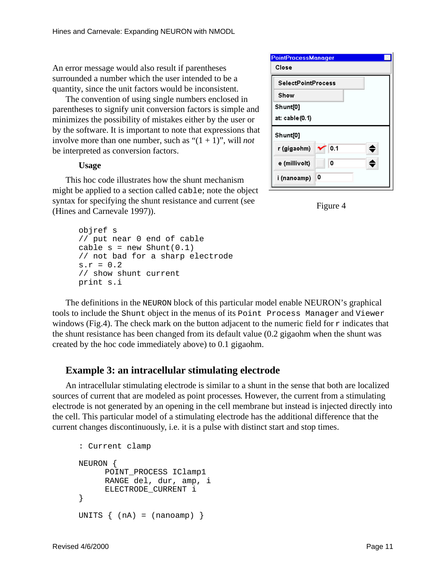An error message would also result if parentheses surrounded a number which the user intended to be a quantity, since the unit factors would be inconsistent.

The convention of using single numbers enclosed in parentheses to signify unit conversion factors is simple and minimizes the possibility of mistakes either by the user or by the software. It is important to note that expressions that involve more than one number, such as "(1 + 1)", will *not* be interpreted as conversion factors.

#### **Usage**

This hoc code illustrates how the shunt mechanism might be applied to assection called cable; note the object syntax for specifying the shunt resistance and current (see (HinesandCarnevale1997) ).

```
objref s
// put near 0 end of cable
cable s = new Shunt(0.1)// not bad for a sharp electrode
s.r = 0.2// show shunt current
print s.i
```

| <b>PointProcessManager</b> |     |
|----------------------------|-----|
| Close                      |     |
| <b>SelectPointProcess</b>  |     |
| Show                       |     |
| Shunt[0]                   |     |
| at: cable (0.1)            |     |
| Shunt[0]                   |     |
| r (gigaohm)                | 0.1 |
| e (millivolt)              | 0   |
| i (nanoamp)                | 0   |



The definitions in the NEURON block of this particular model enable NEURON's graphical toolstoinclude the Shunt object in the menus of its Point Process Manager and Viewer windows (Fig.4). The check mark on the button adjacent to the numeric field for rindicates that the shunt resistance has been changed from its default value (0.2 gigaohm when the shunt was created by the hoccode immediately above) to 0.1 gigaohm.

### **Example 3: an intracellular stimulating electrode**

An intracellular stimulating electrode is similar to ashunt in the sense that both are localized sources of current that are modeled as point processes . However, the current from a stimulating electrode is not generated by an opening in the cell membrane but instead is injected directly into the cell. This particular model of a stimulating electrode has the additional difference that the current changes discontinuously, i.e. it is a pulse with distinct start and stop times.

```
: Current clamp
NEURON {
     POINT_PROCESS IClamp1
     RANGE del, dur, amp, i
     ELECTRODE_CURRENT i
}
UNITS \{ (nA) = (nanoamp) \}
```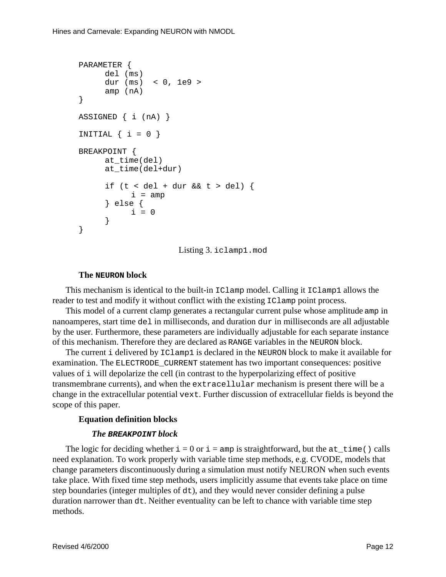```
PARAMETER {
     del (ms)
     dur (ms) < 0, 1e9 >amp (nA)
}
ASSIGNED { i (nA) }
INITIAL \{ i = 0 \}BREAKPOINT {
     at_time(del)
     at time(del+dur)
      if (t < del + dur &amp; &amp; t > del) {
           i = amp} else {
           i = 0}
}
```
Listing3. iclamp1.mod

### **The NEURON block**

This mechanism is identical to the built-in IClamp model. Calling it IClamp1 allows the readertotest and modify it without conflict with the existing IClamp point process.

This model of a current clamp generates are ctangular current pulse whose amplitude ampin nanoamperes, start time del in milliseconds, and duration durin milliseconds are all adjustable by the user. Furthermore, these parameters are individually adjustable for each separate instance of this mechanism. Therefore the yare declared as RANGE variables in the NEURON block.

The current idelivered by IClamp1 is declared in the NEURON block to make it available for examination. The ELECTRODE CURRENT statement has two important consequences: positive values of i will depolarize the cell (in contrast to the hyperpolarizing effect of positive transmembrane currents), and when the extracellular mechanism is present there will be a change in the extracellular potential vext. Further discussion of extracellular fields is beyond the scopeofthis paper.

### **Equation definition blocks**

### *The* **BREAKPOINT** *block*

The logic for deciding whether  $i = 0$  or  $i =$  amp is straightforward, but the at time () calls need explanation. To work properly with variable timestep methods, e.g. CVODE, models that change parameters discontinuously during a simulation must notify NEURON when such events take place. With fixed time step methods, users implicitly assume that events take place on time stepboundaries (integer multiples of dt), and they would never consider defining a pulse durationnarrower than dt. Neither eventuality can be left to chance with variable timestep methods.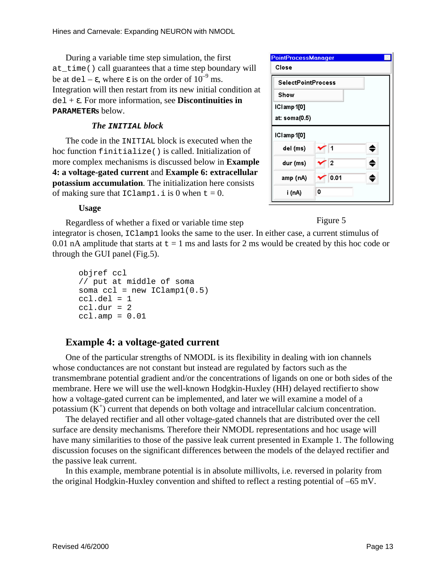During avariable times tep simulation, the first at\_time() call guarantees that a time step boundary will be at del –  $\varepsilon$ , where  $\varepsilon$  is onthe order of 10  $^{-9}$  ms. Integration will then restart from its new initial condition at del + ε. For more information, see **Discontinuities in PARAMETERs** below.

## *The* **INITIAL** *block*

The code in the INITIAL block is executed when the hoc function finitialize () is called. Initialization of more complex mechanisms is discussed below in **Example 4: a voltage-gated current** and **Example 6: extracellular potassium accumulation** . The initialization here consists of making sure that  $IClamp1.i s0 when t = 0$ .

| <b>PointProcessManager</b> |           |   |
|----------------------------|-----------|---|
| Close                      |           |   |
| <b>SelectPointProcess</b>  |           |   |
| Show                       |           |   |
| ICIamp 1[0]                |           |   |
| at: soma(0.5)              |           |   |
| ICI amp 1[0]               |           |   |
| del (ms)                   | 1         |   |
| dur (ms)                   | $\vert$ 2 | ≘ |
| amp (nA)                   | 0.01      |   |
| i (nA)                     | ٥         |   |

### **Usage**

Regardless of whether a fixed or variable timestep

Figure 5

integratorischosen, IClamp1 looks the same to the user. In either case, a current stimulus of  $0.01$ nA amplitude that starts at  $t = 1$  ms and lasts for  $2$  ms would be created by this hoc code or  $through the GUI panel$  (Fig.5).

```
objref ccl
// put at middle of soma
soma ccl = new IClamp1(0.5)ccl.de1 = 1ccl.dur = 2
ccl.\amp{amp = 0.01}
```
# **Example 4: a voltage-gated current**

One of the particular strengths of NMODL is its flexibility in dealing with ion channels whose conductances are not constant but instead are regulated by factors such as the transmembrane potential gradient and/orthe concentrations of ligands on one or both sides of the membrane. Here we will use the well-known Hodgkin-Huxley (HH) delayed rectifier to show how a voltage-gated current can be implemented, and later we will examine a model of a potassium $(K^{\dagger})$ current that depends on both voltage and intracellular calcium concentration.

The delayed rectifier and all other voltage-gated channels that are distributed over the cell surface are density mechanisms . Therefore their NMODL representations and hocusage will have many similarities to those of the passive leak current presented in Example 1. The following discussion focuses on the significant differences between the models of the delayed rectifier and the passive leak current.

In this example, membrane potential is in absolute millivolts, i.e. reversed in polarity from the original Hodgkin-Huxley convention and shifted to reflect a resting potential of –65 mV.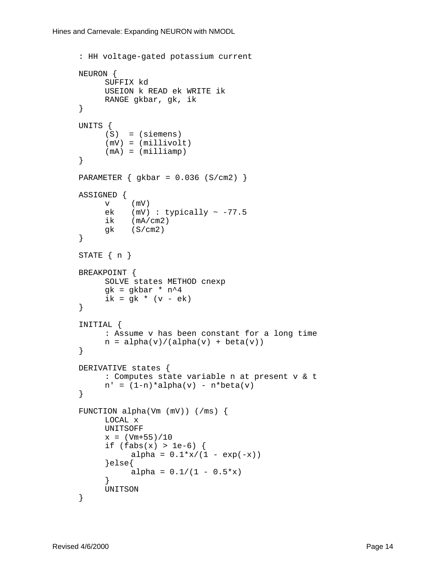```
: HH voltage-gated potassium current
NEURON {
     SUFFIX kd
     USEION k READ ek WRITE ik
     RANGE gkbar, gk, ik
}
UNITS {
     (S) = (siemens)(mV) = (millivolt)
     (mA) = (milliamp)}
PARAMETER { gkbar = 0.036 (S/cm2) }
ASSIGNED {
     v (mV)
     ek (mV) : typically \sim -77.5
     ik (mA/cm2)
     gk (S/cm2)}
STATE \{ n \}BREAKPOINT {
     SOLVE states METHOD cnexp
     gk = gkbar * n^4
     ik = gk * (v - ek)}
INITIAL {
     : Assume v has been constant for a long time
     n = \text{alpha}(v) / (\text{alpha}(v) + \text{beta}(v))}
DERIVATIVE states {
     : Computes state variable n at present v & t
     n' = (1-n)*alpha(v) - n*beta(v)}
FUNCTION alpha(Vm (mV)) (/ms) {
     LOCAL x
     UNITSOFF
     x = (Vm+55)/10if (fabs(x) > 1e-6) {
           alpha = 0.1 * x / (1 - exp(-x))}else{
           alpha = 0.1/(1 - 0.5*x)}
     UNITSON
}
```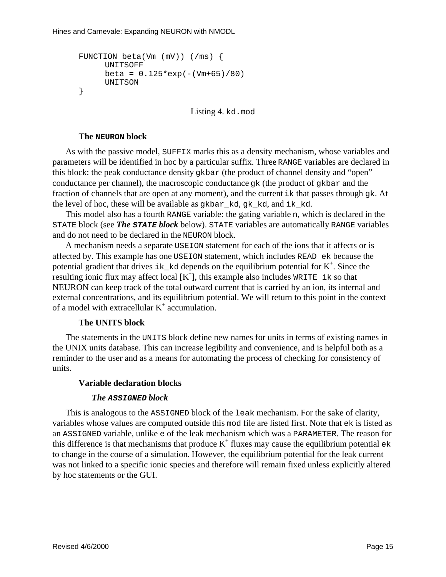```
FUNCTION beta(Vm (mV)) (/ms) {
     UNITSOFF
     beta = 0.125*exp(-(Vm+65)/80)UNITSON
}
```
Listing4. kd.mod

### **The NEURON block**

As with the passive model, SUFFIX marks this as a density mechanism, whose variables and parameters will be identified in hoc by a particular suffix. Three RANGE variables are declared in this block: the peak conductance density gkbar (the product of channel density and "open" conductance per channel), the macroscopic conductance gk (the product of gkbar and the fraction of channels that are open at any moment), and the current ik that passes through qk. At the level of hoc, these will be available as gkbar\_kd, gk\_kd, and ik\_kd.

This model also has a fourth RANGE variable: the gating variable n, which is declared in the STATEblock(see **The STATEblock** below). STATEvariables are automatically RANGE variables and do not need to be declared in the NEURON block.

A mechanism needs as eparate USEION statement for each of the ions that it affects or is affected by. This example has one USEION statement, which includes READ ek because the potential gradient that drives ik kd depends on the equilibrium potential for K  $\overline{\phantom{a}}$ . Since the resulting ionic flux may affect local [K]  $\dagger$ ], this example also includes WRITE ikso that NEURON can keep track of the total outward current that is carried by an ion, its internal and external concentrations, and its equilibrium potential. We will return to this point in the context of a model with extracellular K accumulation.

### **The UNITS block**

The statements in the UNITS block define new names for units interms of existing names in the UNIX units database . This can increase legibility and convenience, and is helpful both as a reminder to the user and as a means for automating the process of checking for consistency of units.

### **Variable declaration blocks**

### *The* **ASSIGNED** *block*

This is analogous to the ASSIGNED block of the leak mechanism. For the sake of clarity, variables whose values are computed outside this modifiear elisted first. Note that ekislisted as an ASSIGNED variable, unlike e of the leak mechanism which was a PARAMETER. The reason for this difference is that mechanisms that produce K fluxes may cause the equilibrium potential ek to change in the course of a simulation . However, the equilibrium potential for the leak current was not linked to aspecific ionic species and therefore will remain fixed unless explicitly altered by hoc statements or the GUI.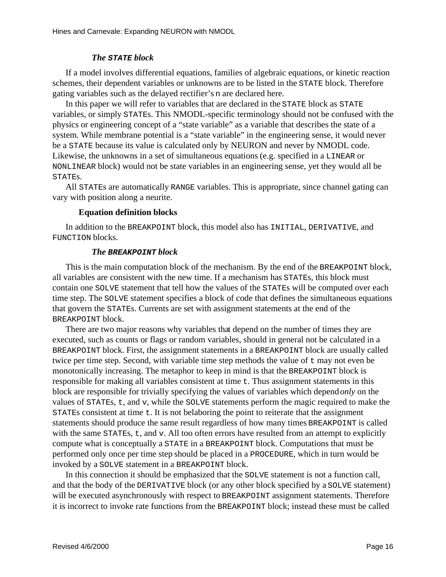### *The* **STATE** *block*

If a model involves differential equations, families of algebraic equations, or kinetic reaction schemes, their dependent variables or unknowns are to be listed in the STATE block. Therefore gating variables such as the delayed rectifier's naredeclared here.

Inthis paper we will refer to variable sthat are declared in the STATE block as STATE variables, or simply STATES. This NMODL-specific terminology should not be confused with the physics or engineering concept of a "state variable" as a variable that describes the state of a system. While membrane potential is a "state variable" in the engineering sense, it would never bea STATE becauseits value is calculated only by NEURON and never by NMODL code. Likewise, the unknowns in a set of simultaneous equations (e.g. specified in a LINEAR or NONLINEAR block ) would not be state variables in an engineering sense, yet they would all be STATEs.

All STATEs are automatically RANGE variables . This is appropriate, since channel gating can vary with positional onganeurite.

### **Equation definition blocks**

In addition to the BREAKPOINT block, this model also has INITIAL, DERIVATIVE, and FUNCTION**blocks**.

### *The* **BREAKPOINT** *block*

This is the main computation block of the mechanism. By the end of the mechanism is negatively in the BREAKPOINT block, all variables are consistent with the new time. If a mechanism has STATES, this block must contain one SOLVE statement that tell how the values of the STATEs will be computed over each time solutions of the solutions steps. The solutions in statement specifies ablock of code that defines the simultaneous equations that govern the STATEs. Currents are set with assignment statements at the endof the BREAKPOINTblock.

There are two major reasons why variables that the number of times they are the number of times the variety of the number of times the variety of the number of times the variety of the number of times the variety of the nu executed, such as counts or flags or random variables, should in general not be calculated in a BREAKPOINT block . First, the assignment statements in a BREAKPOINT block are usually called twice per time step. Second, with variable time step methods the value of the value of the value of the value of the value of the value of the value of the value of the value of the value of the value of the value of the v monotonically increasing. The metaphortoke epinmindis that the BREAKPOINT block is responsible for making all variables consistent at time t. Thus assignment statements in this block are responsible for trivially specifying the values of variables which depend *only* on the values of STATEs, t, and v, while the SOLVE statements perform the magic required to make the STATEs consistent at time t. It is not be laboring the point to reiterate that the assignment statements should produce the same result regardless of how many times BREAKPOINT is called with the same STATES, t, and v. All too often errors have resulted from an attempt to explicitly compute what is conceptually a STATE in a BREAKPOINT block. Computations that must be performed only once per time step should be placed in a PROCEDURE, which in turn would be invokedbya SOLVEstatementina BREAKPOINTblock.

In this connection it should be emphasized that the SOLVE statement is not a function call and that the body of the DERIVATIVE block (or any other block specified by a SOLVE statement) will be executed as ynchronously with respect to BREAKPOINT assignment statements. Therefore itisincorrect to invoke rate functions from the BREAKPOINT block; instead the semust be called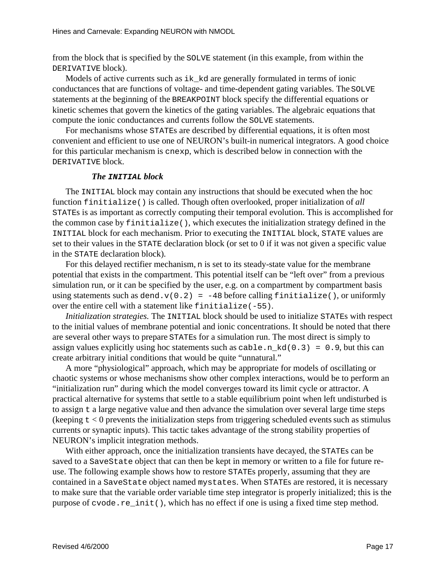from the block that is specified by the SOLVE statement (in this example, from within the DERIVATIVE block).

Models of active currents such as ik\_kd are generally formulated in terms of ionic conductances that are functions of voltage-and time-dependent gating variables. The SOLVE statements at the beginning of the BREAKPOINT blocks pecify the differential equations or kinetic schemes that govern the kinetic softhe gating variables. The algebraic equations that compute the ionic conductances and currents follow the SOLVE statements.

For mechanisms whose STATEs are described by differential equations, it is often most convenient and efficient to use one of NEURON's built-in numerical integrators. A good choice for this particular mechanism is cnexp, which is described below in connection with the DERIVATIVE block.

### *The* **INITIAL** *block*

The INITIAL block may contain any instructions that should be executed when the hoc function finitialize() is called. Though often overlooked, proper initialization of *all* STATEs is as important as correctly computing their temporal evolution. This is accomplished for the common case by finitialize(), which executes the initialization strategy defined in the INITIAL block for each mechanism. Prior to executing the INITIAL block, STATE values are setto their values in the STATE declaration block (or set to 0 if it was not given a specific value in the STATE declaration block).

Forthis delayed rectifier mechanism, nisset to its steady-state value for the membrane potential that exists in the compartment. This potential itself can be "left over" from a previous simulation run, or it can be specified by the user, e.g. on a compartment by compartment basis using statements such as dend.v(0.2) = -48 before calling finitialize(), or uniformly  $over the entire cell with a statement like \text{finite} 1ize (-55).$ 

*Initializationstrategies*. The INITIAL block should be used to initialize STATEs with respect to the initial values of membrane potential and ionic concentrations. It should be noted that there are several other ways to prepare STATEs for a simulation run. The most direct is simply to assign values explicitly using hoc statements such as  $\cosh h$  and  $(0.3) = 0.9$ , but this can create arbitrary initial conditions that would be quite "unnatural."

Amore "physiological" approach, which may be appropriate for models of oscillating or chaotic systems or whose mechanisms show other complex interactions, would be to perform an "initialization run" during which the model converges toward its limit cycle or attractor. A practical alternative for systems that settle to a stable equilibrium point when left undisturbed is to assign t a large negative value and then advance the simulation over several large time steps  $(keeping t < 0$  prevents the initialization steps from triggering scheduled events such as stimulus currents or synaptic inputs). This tactic takes advantage of the strong stability properties of NEURON's implicit integration methods.

With either approach, once the initialization transients have decayed, the STATEs can be saved to a SaveState object that can then be kept in memory or written to a file for future reuse. The following examples hows how to restore STATEs properly, assuming that they are contained in a SaveState object named mystates. When STATE sare restored, it is necessary to make sure that the variable order variable time step integrator is properly initialized; this is the purpose of cvode.re\_init(), which has no effect if one is using a fixed time step method.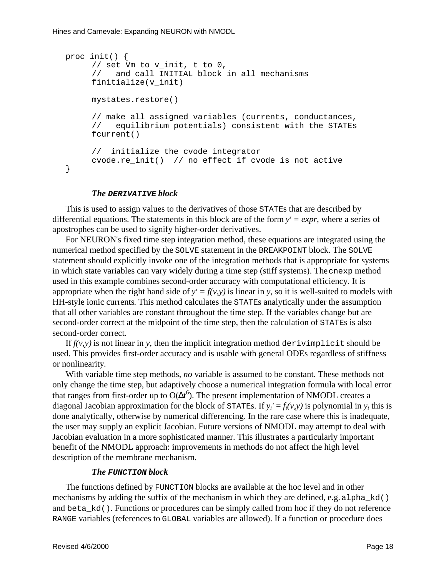```
proc init() {
     // set Vm to v_init, t to 0,
     // and call INITIAL block in all mechanisms
     finitialize(v_init)
     mystates.restore()
     // make all assigned variables (currents, conductances,
     // equilibrium potentials) consistent with the STATEs
     fcurrent()
     // initialize the cvode integrator
     cvode.re_init() // no effect if cvode is not active
}
```
#### *The* **DERIVATIVE** *block*

This is used to assign values to the derivatives of those STATEs that are described by differential equations. The statements in this block are of the form *y' = expr* , where a series of apostrophescan be used to signify higher-order derivatives.

For NEURON's fixed time step integration method, the seed using a the grated using the numerical method specified by the SOLVE statement in the BREAKPOINT block . The SOLVE statement should explicitly invoke one of the integration methods that is appropriate for systems in which states variables can vary widely during a time step (stiff systems). The cnexp method used in this example combines second-order accuracy with computational efficiency. It is appropriate when the right hand side of  $y' = f(y, y)$  is linear in y, so it is well-suited to models with HH-styleionic currents . This method calculates the STATEs analytically under the assumption that all other variables are constant throughout the timestep. If the variables change but are second-order correct at the midpoint of the time step, then the calculation of STATEs is also second-order correct.

If  $f(y, y)$  is not linear in *y*, then the implicit integration method derivimplicits hould be used. This provides first-order accuracy and is usable with general ODEs regardless of stiffness or nonlinearity.

With variable timestep methods, *no* variable is assumed to be constant. The semethods not only change the time step, but adaptively choose a numerical integration formula with local error  $that ranges from first-order up to O($  $6$ ). The present implementation of NMODL creates a diagonal Jacobian approximation for the block of  $y' = f_i(v, y)$  is polynomial in *y<sub>i</sub>*this is done analytically, otherwise by numerical differencing. In the rare case where this is inadequate, the user may supply an explicit Jacobian. Future versions of NMODL may attempt to deal with Jacobian evaluation in a more sophisticated manner. This illustrates a particularly important benefit of the NMODL approach: improvements in methods do not affect the highlevel description of the membrane mechanism.

#### *The* **FUNCTION** *block*

The functions defined by FUNCTION blocks are available at the hoclevel and in other mechanisms by adding the suffix of the mechanism in which the vare defined, e.g. alpha kd() and beta\_kd(). Functions or procedures can be simply called from hocif they donot reference RANGE variables (references to GLOBAL variables are allowed). If a function or proceduredoes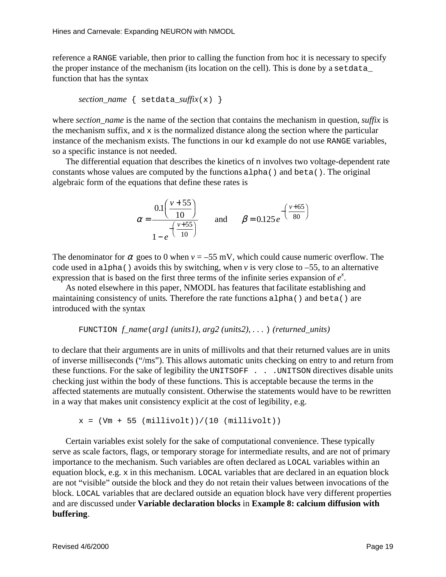referencea RANGE variable, then prior to calling the function from hocitisnecessary to specify the proper instance of the mechanism (its location on the cell). This is done by a set data\_ function that has the syntax

$$
section\_name \{ setdata\_suffix(x) \}
$$

where *section\_name* is the name of the section that contains the mechanism in question, *suffixis* the mechanism suffix, and xis the normalized distance along the section where the particular instance of the mechanism exists. The functions in our kd example do not use RANGE variables, so aspecific instance is not needed.

The differential equation that describes the kinetics of ninvolves two voltage-dependent rate constants whose values are computed by the functions alpha() and beta(). The original algebraic form of the equations that define these rates is

$$
\alpha = \frac{0.1\left(\frac{v+55}{10}\right)}{1-e^{-\left(\frac{v+55}{10}\right)}}
$$
 and  $\beta = 0.125 e^{-\left(\frac{v+65}{80}\right)}$ 

The denominator for  $\alpha$  goes to 0 when  $v = -55$  mV, which could cause numeric overflow. The code used in alpha() avoids this by switching, when *v* is very close to –55, to an alternative expression that is based on the first three terms of the infinite series expansion of *x* .

As noted elsewhere in this paper, NMODL has features that facilitate establishing and maintaining consistency of units . Therefore the rate functions alpha() and beta() are introduced with the syntax

$$
\text{FUNCTION } f\_name(\text{arg1}(\text{units1}), \text{arg2}(\text{units2}), \dots) (\text{returned\_units})
$$

to declare that their arguments are in units of millivolts and that their returned values are in units of inverse milliseconds ("/ms"). This allows automatic units checking on entry to and return from these functions. For the sake of legibility the UNITSOFF . . . UNITSON directives disable units checking just within the body of these functions. This is acceptable because the terms in the affected statements are mutually consistent. Otherwise the statements would have to be rewritten in a way that makes unit consistency explicit at the cost of legibility, e.g.

 $x = (Vm + 55 (millivolt))/(10 (millivolt))$ 

Certain variables exists of exists of computational conveni ence. The set ypically serveasscale factors, flags, or temporary storage for intermediate results, and are not of primary importance to the mechanism. Such variables are often declared as  $\qquad$  LOCAL variables within an equation block, e.g. xinthis mechanism. LOCAL variables that are declared in an equation block are not "visible" outside the block and the ydonot retain their values between invocations of the block. LOCAL variables that are declared outside an equation block have very different properties and are discussed under **Variable declaration blocks** in **Example 8: calcium diffusion with buffering**.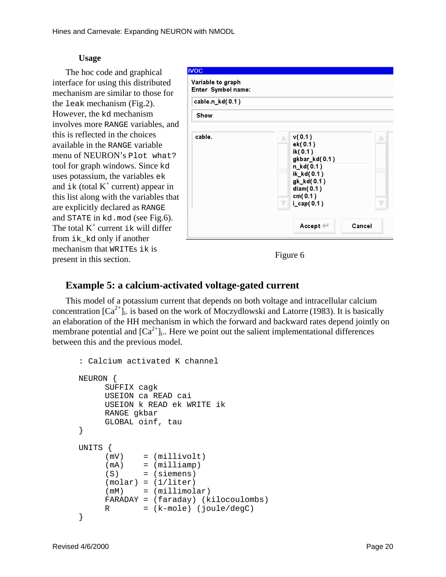### **Usage**

The hoc code and graphical interface for using this distributed mechanism are similar to those for the leak mechanism (Fig.2). However, the kd mechanism involves more RANGE variables, and this is reflected in the choices availableinthe RANGE variable menu of NEURON's Plot what? toolforgraph windows. Since kd uses potassium, the variables ek and  $ik(totalK^{-1}current)$ appearin this list along with the variables that are explicitly declared as RANGE and STATE in kd. mod (see Fig. 6). The total K  $^+$  current ik will differ from ik kd only if another mechanism that WRITES ikis present in this section.

| <b>IVOC</b><br>Variable to graph<br>Enter Symbol name: |                                                                                                                                        |
|--------------------------------------------------------|----------------------------------------------------------------------------------------------------------------------------------------|
| cable.n_kd(0.1)                                        |                                                                                                                                        |
| Show                                                   |                                                                                                                                        |
| cable.                                                 | v(0.1)<br>z,<br>ek(0.1)<br>ik(0.1)<br>gkbar_kd(0.1)<br>n_kd(0.1)<br>ik_kd(0.1)<br>gk_kd(0.1)<br>diam(0.1)<br>cm(0.1)<br>$i_{cap}(0.1)$ |
|                                                        | Cancel<br>Accept $\leftarrow$                                                                                                          |

Figure 6

### **Example 5: a calcium-activated voltage-gated current**

This model of a potassium current that depends on both voltage and intracellular calcium concentration [Ca<sup>2+</sup>]<sub>i</sub>. is based on the work of Moczydlowski and Latorre (1983). It is basically an elaboration of the HH mechanism in which the forward and backward rates depend jointly on membrane potential and  $\begin{bmatrix} \text{Ca} & ^{2+} \end{bmatrix}$  i. Here we point out the salient implementational differences between this and the previous model.

```
: Calcium activated K channel
NEURON {
     SUFFIX cagk
     USEION ca READ cai
     USEION k READ ek WRITE ik
     RANGE gkbar
     GLOBAL oinf, tau
}
UNITS {
     (mV) = (millivolt)
     (mA) = (milliam p)(S) = (siemens)
     (molar) = (1/liter)(mM) = (millimolar)FARADAY = (faraday) (kilocoulombs)
     R = (k-mode) (joule/degC)}
```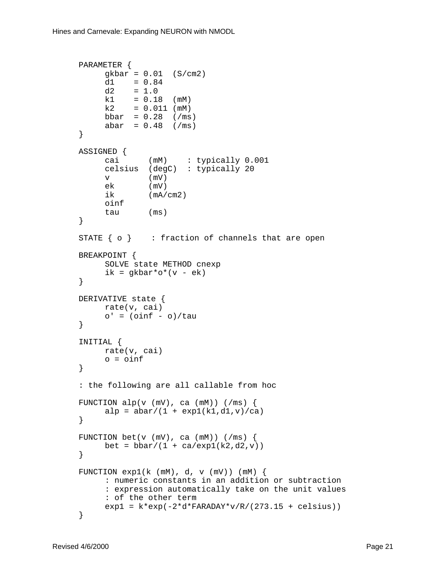```
PARAMETER {
     gkbar = 0.01 (S/cm2)
     d1 = 0.84d2 = 1.0k1 = 0.18 (mM)
     k2 = 0.011 (mM)
     bbar = 0.28 (/ms)
     abar = 0.48 (/ms)
}
ASSIGNED {
     cai (mM) : typically 0.001
     celsius (degC) : typically 20
     v (mV)
     ek (mV)<br>ik (mA/
             (mA/cm2)oinf
     tau (ms)
}
STATE \{ \circ \} : fraction of channels that are open
BREAKPOINT {
     SOLVE state METHOD cnexp
     ik = qkbar*o*(v - ek)}
DERIVATIVE state {
     rate(v, cai)
     o' = (oinf - o)/tau}
INITIAL {
    rate(v, cai)
     o = oinf}
: the following are all callable from hoc
FUNCTION alp(v (mV), ca (mM)) (mS)alp = abar/(1 + exp1(k1, d1, v)/ca)}
FUNCTION bet(v (mV), ca (mM)) (mS)bet = bbar/(1 + ca/exp1(k2,d2,v))}
FUNCTION exp1(k \text{ (mM)}, d, v \text{ (mV)}) (mM) {
     : numeric constants in an addition or subtraction
     : expression automatically take on the unit values
     : of the other term
     exp1 = k*exp(-2*d*FARADAY*v/R/(273.15 + celsius))}
```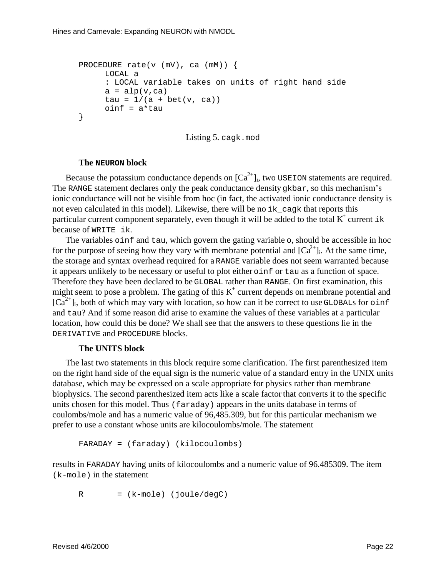```
PROCEDURE rate(v (mV), ca (mM)) {
     LOCAL a
     : LOCAL variable takes on units of right hand side
     a = alp(v, ca)tau = 1/(a + bet(v, ca))oinf = a*tau
}
```
Listing 5. cagk.mod

#### **The NEURON block**

 $Because the potassium conductance depends on [Ca]$  $2+$ <sub>i</sub>, two USEION statements are required. The RANGE statement declares only the peak conductance density gkbar, so this mechanism's ionic conductance will not be visible from hoc (in fact, the activated ionic conductance density is not even calculated in this model). Likewise, the rewill be no ik cagk that reports this  $particular current components separately, event how ghit will be added to the total K$  current ik because of WRITE ik.

The variables oinf and tau, which govern the gating variable o, should be accessible in hoc for the purpose of seeing how they vary with membrane potential and [Ca the storage and syntax overhead required for a RANGE variable doesn  $2+$ <sub>1</sub>. At the same time, RANGE variable does not seem warranted because it appears unlikely to be necessary or useful to plote ither oinf or tau as a function of space. Therefore they have been declared to be GLOBAL rather than RANGE. On first examination, this  $m$ ight seem to pose a problem. The gating of this K current depends on membrane potential and  $[Ca^{2+}]\n$ <sub>i</sub>, both of which may vary with location, so how can it be correct to use GLOBALs for oinf and tau? And if some reason didarise to examine the values of these variables at a particular location, how could this bedone? We shall see that the answers to the sequestions lie in the DERIVATIVE and PROCEDURE blocks.

### **The UNITS block**

The last two statements in this block requires ome clarification. The first parent hesized item on the right hand side of the equal sign is the numeric value of a standard entry in the UNIX units database, which may be expressed on a scale appropriate for physics rather than membrane biophysics. The second parenthesized item acts like a scale factor that converts it to the specific units chosen for this model. Thus (faraday) appears in the units database in terms of coulombs/mole and has a numeric value of 96,485.309, but for this particular mechanism we prefertouse a constant whose units are kilocoulombs/mole. The statement

```
FARADAY = (faraday) (kilocoulombs)
```
results in FARADAY having units of kilocoulombs and a numeric value of 96.485309. The item  $(k-mole)$  in the statement

 $R = (k-mode) (joule/degC)$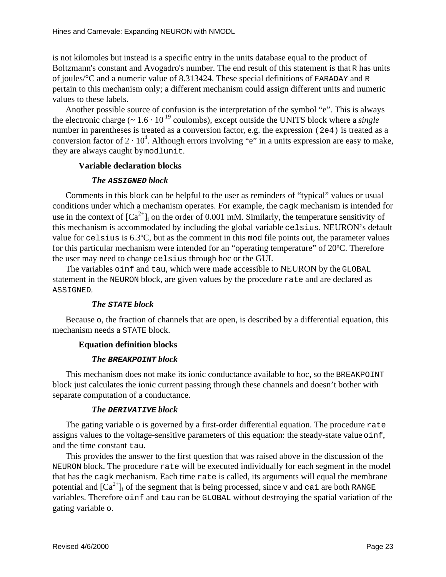is not kilomoles but instead is a specific entry in the units database equal to the product of Boltzmann's constant and Avogadro's number. The end result of this statement is that R has units of joules/°C and a numeric value of 8.313424. These special definitions of FARADAY and R pertainto this mechanism only; a different mechanism could assign different units and numeric values to these labels.

Anotherpossible source of confusion is the interpretation of the symbol "e". This is always the electronic charge (~1.6·10<sup>-19</sup> coulombs), except outside the UNITS block where a *single* number in parentheses is treated as a conversion factor , e.g. the expression (2e4) is treated as a conversion factor of 2.10  $4$ . Although errors involving "e" in a units expression are easy to make, they are always caught by modlunit.

### **Variable declaration blocks**

### *The* **ASSIGNED** *block*

Comments in this block can be helpful to the user as reminders of "typical" values or usual conditions under which a mechanism operates. For example, the cagk mechanism is intended for use in the context of  $\text{Ca}$   $^{-2+}$  l<sub>i</sub>on the order of 0.001 mM. Similarly, the temperature sensitivity of this mechanism is accommodated by including the global variable celsius. NEURON's default value for celsius is 6.3°C, but as the comment in this modile points out, the parameter values for this particular mechanism were intended for an "operating temperature" of 20°C. Therefore the user may need to change celsius through hocor the GUI.

The variables oinf and tau, which were made accessible to NEURON by the GLOBAL statement in the NEURON block, are given values by the procedure rate and are declared as ASSIGNED.

### *The* **STATE** *block*

Because o, the fraction of channels that are open, is described by a differential equation, this mechanismneedsa STATEblock.

### **Equation definition blocks**

### *The* **BREAKPOINT** *block*

This mechanism does not make its ionic conductance available to hoc, so the BREAK POINT block just calculates the ionic current passing through these channels and doesn't bother with separate computation of a conductance.

### *The* **DERIVATIVE** *block*

The gating variable ois governed by a first-order differential equation. The procedure rate assigns values to the voltage-sensitive parameters of this equation: the steady-state value oinf, and the time constant tau.

This provides the answer to the first question that was raised above in the discussion of the NEURON block. The procedure rate will be executed individually for each segment in the model that has the cagk mechanism. Each time rate is called, its arguments will equal the membrane potential and  $\left[Ca^{-2+}\right]$  is of the segment that is being processed, since vand cai are both RANGE variables. Therefore oinf and tau can be GLOBAL without destroying the spatial variation of the gating variable o.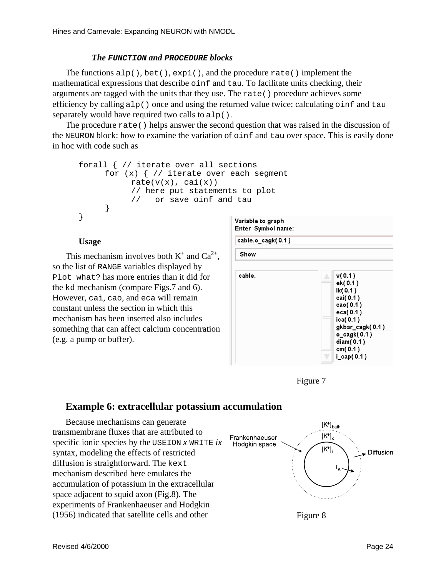### *The* **FUNCTION** *and* **PROCEDURE** *blocks*

The functions  $a l p()$ , bet(),  $exp l()$ , and the procedure rate() implement the mathematical expressions that describe oinf and tau. To facilitate units checking, their arguments are tagged with the units that they use. The rate () procedure achieves some efficiency by calling alp() once and using the returned value twice; calculating oinf and tau  $separately would have required two calls to \text{alp}().$ 

The procedure rate() helps answer the second question that was raised in the discussion of the NEURON block: how to examine the variation of oinf and tau over space. This is easily done inhoc with code such as

```
forall { // iterate over all sections
     for (x) \frac{1}{x} iterate over each segment
           rate(v(x), cai(x))// here put statements to plot
           // or save oinf and tau
     }
}
```
### **Usage**

This mechanism involves both K  $^+$  and Ca  $^{2+}$ , so the list of RANGE variables displayed by Plot what? has more entries than it did for the kd mechanism (compare Figs.7 and 6). However, cai, cao, and eca will remain constant unless the section in which this mechanism has been inserted also includes something that can affect calcium concentration (e.g. a pump or buffer).





### Example6: extracellular potassium accumulation

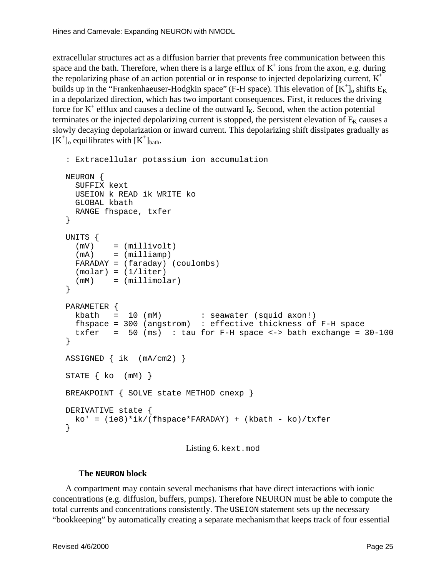extracellular structures act as a diffusion barrier that prevents free communication between this space and the bath. Therefore, when the reisal arge efflux of K <sup>t</sup>ions from the axon, e.g. during the repolarizing phase of an action potential or in response to injected depolarizing current, K builds up in the "Frankenhaeuser-Hodgkinspace" (F-H space) . This elevation of  $[K^{-+}]_0$ shifts E  $_K$ in a depolarized direction, which has two important consequences. First, it reduces the driving forceforK + efflux and causes a decline of the outward I K. Second, when the action potential terminates or the injected depolarizing current is stopped, the persistent elevation of  $E_{\text{K}}$  causes a slowly decaying depolarization or inward current. This depolarizing shift dissipates gradually as  $[K^+]$ <sub>o</sub> equilibrates with  $[K^+]_{\text{bath}}$ .

```
: Extracellular potassium ion accumulation
NEURON {
  SUFFIX kext
  USEION k READ ik WRITE ko
  GLOBAL kbath
  RANGE fhspace, txfer
}
UNITS {
   (mV) = (millivolt)
  (mA) = (milliamp) FARADAY = (faraday) (coulombs)
  (molar) = (1/liter)(mM) = (millimolar)}
PARAMETER {
 kbath = 10 (mM) : seawater (squid axon!)
  fhspace = 300 (angstrom) : effective thickness of F-H space
  txfer = 50 (ms) : tau for F-H space \langle - \rangle bath exchange = 30-100}
ASSIGNED { ik (mA/cm2) }
STATE \{ ko \, (mM) \}BREAKPOINT { SOLVE state METHOD cnexp }
DERIVATIVE state {
 ko' = (1e8)*ik/(fhspace*{1.5mm}RARDAY) + (kbath - ko)/txfer}
```
Listing6. kext.mod

### **The NEURON block**

A compartment may contain several mechanisms that have direct interactions withionic concentrations (e.g. diffusion, buffers, pumps). Therefore NEURON must be able to compute the total currents and concentrations consistently. The USEION statements ets up the necessary "bookkeeping" by automatically creating as eparate mechanism that keeps track of four essential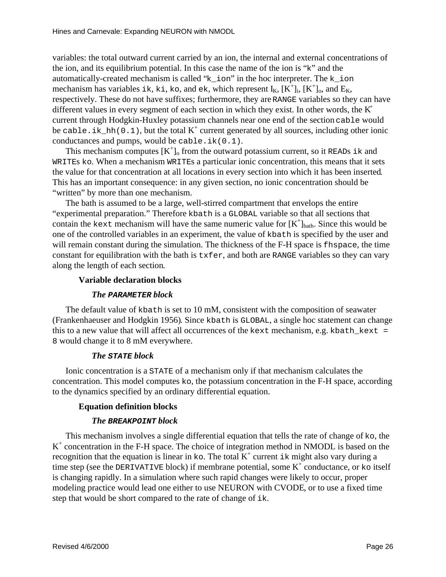variables: the total outward current carried by an ion, the internal and external concentrations of the ion, and its equilibrium potential. In this case the name of the ion is " k" and the automatically-created mechanism is called " k ion" in the hoc interpreter. The k ion mechanism has variables ik, ki, ko, and ek, which represent  $K_n[K^+]_i, [K^+]_0$ , and  $E_K$ , respectively. These donot have suffixes; furthermore, they are RANGE variables so they can have different values in every segment of each section in which they exist. In other words, the K current through Hodgkin-Huxley potassium channels near one end of the section cable would be cable.ik\_hh(0.1), but the total K <sup>+</sup> current generated by all sources, including otherionic  $conductances and pumps, would be `cable.ik(0.1)`.$ 

This mechanism computes  $[K^{-1}]_0$  from the outward potassium current, so it READS ik and WRITES ko. When a mechanism WRITES a particularionic concentration, this means that itsets the value for that concentration at all locations in every section into which it has been inserted This has an important consequence: in any given section, no ionic concentration should be "written" by more than one mechanism.

The bath is assumed to be a large, well-stirred compartment that envelops the entire "experimental preparation." Therefore kbathis a GLOBAL variable so that all sections that contain the kext mechanism will have the same numeric value for  $[K]$  $\eta_{\text{bath}}$ . Since this would be one of the controlled variables in an experiment, the value of kbath is specified by the user and will remain constant during the simulation. The thickness of the F-H space is fhspace, the time constant for equilibration with the bath is txfer, and both are RANGE variables so they can vary along the length of each section

### **Variable declaration blocks**

### *The* **PARAMETER** *block*

The default value of kbath is set to 10 mM, consistent with the composition of seawater (Frankenhaeuser and Hodgkin 1956) . Since kbath is GLOBAL, as inglehoc statement can change thisto a new value that will affect all occurrences of the kext mechanism, e.g. kbath kext = 8 would change it to 8mM everywhere.

### *The* **STATE** *block*

Ionic concentration is a STATE of a mechanism only if that mechanism calculates the concentration. This model computes ko, the potassium concentration in the F-H space, according to the dynamics specified by an ordinary differential equation.

### **Equation definition blocks**

### *The* **BREAKPOINT** *block*

This mechanism involves a single differential equation that tells the rate of change of ko, the K<sup>+</sup>concentrationintheF-Hspace.ThechoiceofintegrationmethodinNMODLisbasedonthe recognition that the equation is linear in  $k$ o. Thetotal $K$   $\pm$ current  $\pm$ kmightalsovary during a timestep(see the DERIVATIVE block) if membrane potential, some K <sup>+</sup>conductance, or koitself is changing rapidly. In a simulation where such rapid changes we relikely to occur, proper modeling practice would lead one either to use NEURON with CVODE , or to use a fixed time step that would be shortcompared to the rate of change of ik.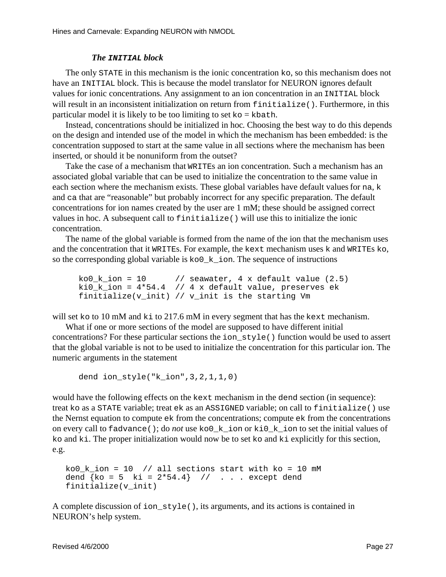#### *The* **INITIAL** *block*

The only STAT Ein this mechanism is the ionic concentration ko, so this mechanism does not have an INITIAL block. This is because the model translator for NEURON ignores default values for ionic concentrations . Any assignment to an ion concentration in an INITIAL block will result in an inconsistent initialization on return from finitialize(). Furthermore, in this particular modelitis likely to be too limiting to set ko = kbath.

Instead, concentrations should be initialized in hoc . Choosing the best way to do this depends on the design and intended use of the model in which the mechanism has been embedded: is the concentration supposed to start at the same value in all sections where the mechanism has been  $inverted$  or should it be nonuniform from the outset?

Take the case of a mechanism that WRITEs an ion concentration Such a mechanism has an associated global variable that can be used to initialize the concentration to the same value in each section where the mechanism exists. These global variables have default values for na, k and cathatare "reasonable" but probably incorrect for any specific preparation. The default concentrations for ion names created by the user are 1 mM; these should be assigned correct values inhoc. A subsequent call to finitialize () will use this to initialize the ionic concentration.

The name of the global variable is formed from the name of the ion that the mechanismuses and the concentration that it writters. For example, the kext mechanismuses k and WRITES ko,  $s$  othe corresponding global variable is ko0\_k\_ion. The sequence of instructions

```
ko0_k_ion = 10 // seawater, 4 x default value (2.5)
ki0_k_ion = 4*54.4 // 4 \times default value, preserves ek
finitialize(v_init) // v_init is the starting Vm
```
will set koto 10 mM and kito 217.6 mM in every segment that has the kext mechanism.

Whatifoneormoresections of the model are supposed to have different initial concentrations? For these particular sections the ion style() function would be used to assert that the global variable is not to be used to initialize the concentration for this particular ion. The numeric arguments in the statement

```
dend ion_style("k_ion",3,2,1,1,0)
```
would have the following effects on the kext mechanism in the dend section (in sequence): treat koasa STATEvariable; treat ekasan ASSIGNED variable; on call to finitialize () use the Nernst equation to compute extrem the concentrations; compute extrem the concentrations onevery call to fadvance(); do *not* use ko0\_k\_ion or ki0\_k\_ion to set the initial values of ko and ki. The proper initialization would now be to set ko and ki explicitly for this section, e.g.

```
ko0_k_ion = 10 // all sections start with ko = 10 mM
dend \{ko = 5 ki = 2*54.4 // . . . except dend
finitialize(v_init)
```
A complete discussion of ion\_style(), its arguments, and its actions is contained in NEURON's help system.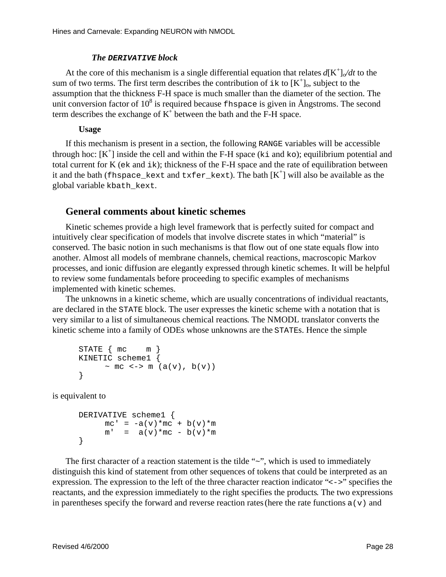### *The* **DERIVATIVE** *block*

At the core of this mechanism is a single differential equation that relates  $d[K^{\dagger}]_{\alpha}/dt$  to the sum of two terms. The first term describes the contribution of  $ikto [K^+]_0$ , subject to the assumption that the thickness F-H space is much smaller than the diameter of the section. The unit conversion factor of 10  ${}^{8}$  is required because fhspace is given in Angstroms. The second term describes the exchange of K  $^{+}$ between the bath and the F-H space.

### **Usage**

If this mechanism is pre-sent in a section, the following RANGE variables will be accessible throughhoc: [K<sup>+</sup>]inside the celland within the F-H space (ki and ko); equilibrium potential and total current for K ( ekand ik); thickness of the F-H space and the rate of equilibration between  $\text{it}$  itand the bath ( fhspace\_kext and txfer\_kext). The bath  $\text{K}$  + will also be available as the globalvariable kbath kext.

### **General comments about kinetic schemes**

Kinetic schemes provide a highlevel framework that is perfectly suited for compact and intuitively clear specification of models that involve discretes tates in which "material" is conserved. The basic notion in such mechanisms is that flow out of one state equals flow into another. Almost all models of membrane channels, chemical reactions, macroscopic Markov processes, and ionic diffusion are elegantly expressed through kinetics chemes. It will be helpful to reviews ome fundamentals before proceeding to specific examples of mechanisms implemented with kinetic schemes.

The unknowns in a kinetic scheme, which are usually concentrations of individual reactants, are declared in the STATE block . The user expresses the kinetic scheme with a notation that is very similar to alist of simultaneous chemical reactions . The NMODL translator converts the kinetic scheme into a family of ODEs whose unknowns are the STATES. Hence the simple

```
STATE \{ mc \} m \}KINETIC scheme1 {
      \sim mc \lt -> m (a(v), b(v))
}
```
is equivalent to

```
DERIVATIVE scheme1 {
    mc' = -a(v) * mc + b(v) * mm' = a(v) * mc - b(v) * m}
```
The first character of a reaction statement is the tilde " ~ ", which is used to immediately distinguish this kind of statement from other sequences of tokens that could be interpreted as an expression. The expression to the left of the three character reaction indicator "  $\leq -\frac{1}{2}$ " specifies the reactants, and the expression immediately to the right specifies the products . The two expressions in parentheses specify the forward and reverse reaction rates (here the rate functions a(v) and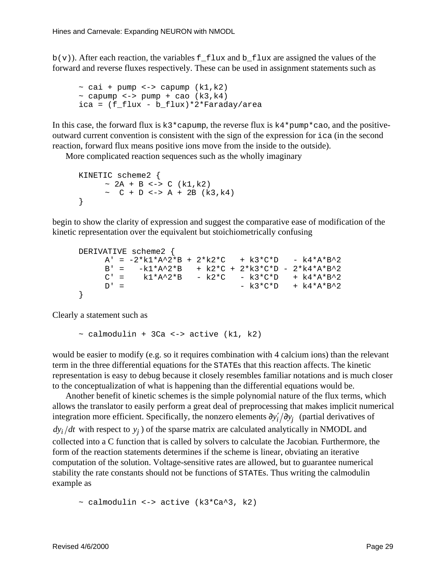$b(v)$ ). After each reaction, the variables f\_flux and b\_flux are assigned the values of the forward and reverse fluxes respectively. These can be used in assignment statements such as

```
\sim cai + pump <-> capump (k1, k2)\sim capump \lt -> pump + cao (k3, k4)ica = (f_flux - b_flux)*2*Faraday/area
```
In this case, the forward flux is k3\*capump, the reverse flux is k4\*pump\*cao, and the positiveoutward current convention is consistent with the sign of the expression for ica (in the second reaction, forward flux means positive ions move from the inside to the outside).

More complicated reactions equences such as the wholly imaginary

```
KINETIC scheme2 {
     \sim 2A + B <-> C (k1,k2)
     ~ C + D \le - > A + 2B (k3, k4)}
```
begintoshow the clarity of expression and suggest the comparative ease of modification of the kinetic representation over the equivalent but stoichiometrically confusing

```
DERIVATIVE scheme2 {
    A' = -2*k1*A^2*B + 2*k2*C + k3*C*D - k4*A*B^2B' = -k1*A^2*B + k2*C + 2*k3*C*D - 2*k4*A*B^2
    C' = k1*A^2*B - k2*C - k3*C*D + k4*A*B^2D' = - k3*C*D + k4*A*B^2}
```
Clearly a statement such as

 $\sim$  calmodulin + 3Ca <-> active (k1, k2)

would be easier to modify (e.g. so it requires combination with 4 calcium ions) than the relevant term in the three differential equations for the STATEs that this reaction affects. The kinetic representation is easy to debug because it closely resembles familiar notations and is much closer to the conceptualization of what is happening than the differential equations would be.

Anotherbenefit of kinetics chemes is the simple polynomial nature of the flux terms, which allows the translator to easily perform a great deal of preprocessing that makes implicit numerical integration more efficient. Specifically, the nonzero elements ∂*y*′ ∂*y <sup>i</sup> <sup>j</sup>*  $\partial y'_i / \partial y_i$  (partial derivatives of  $dy_i/dt$  with respect to  $y_j$  of the sparse matrix are calculated analytically in NMODL and collected into a C function that is called by solvers to calculate the Jacobian . Furthermore, the form of the reaction statements determines if the scheme is linear, obviating an iterative computation of the solution. Voltage-sensitive rates are allowed, but to guarantee numerical stability the rate constants should not be functions of STATES. Thus writing the calmodulin exampleas

 $\sim$  calmodulin <-> active (k3\*Ca^3, k2)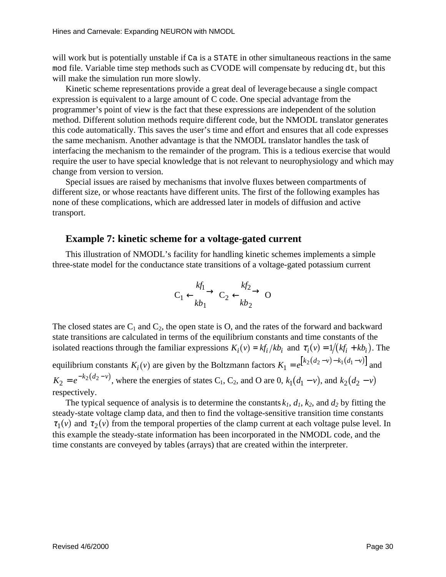will work but is potentially unstable if Caisa STATE in other simultaneous reactions in the same modfile. Variable timestep methods such as CVODE will compensate by reducing dt, but this will make the simulation runnor eslowly.

Kinetic scheme representations provide a great deal of leverage because as ingle compact expressionis equivalent to a large amount of C code. One special advantage from the programmer's point of view is the fact that these expressions are independent of the solution method. Different solution methods require different code, but the NMODL translator generates this code automatically. This saves the user's time and effort and ensures that all code expresses the same mechanism. Another advantage is that the NMODL translator handles the task of interfacing the mechanism to the remainder of the program. This is a tedious exercise that would require the user to have special knowledge that is not relevant to neurophysiology and which may change from version to version.

Special issues are raised by mechanisms that involve fluxes between compartments of different size, or whose reactants have different units. The first of the following examples has none of these complications, which are addressed later in models of diffusion and active transport.

### Example7: kineticscheme for a voltage-gated current

This illustration of NMODL's facility for handling kinetic schemes implements a simple three-state model for the conductance state transitions of a voltage-gated potassium current

$$
C_1 \xrightarrow[k]{} C_2 \xleftarrow[k]{} O
$$

The closed states are C  $_{1}$  and C  $_{2}$ , the open state is O, and the rates of the forward and backward state transitions are calculated in terms of the equilibrium constants and time constants of the  $i$  isolated reactions through the familiar expressions  $= k f_i / k b_i$  and  $\tau_i(v) = 1 / (k f_i + k b_i)$ . The equilibrium constants  $K_i(v)$  are given by the Boltzmann factors  $K_1 = e^{k_2(d_2 - v) - k_1(d_1 - v)}$  $I_1 = e^{[k_2(d_2 - v) - k_1(d_1 - v)]}$  and  $K_2 = e^{-k_2(d_2 - v)}$  $z = e^{-k_2(d_2 - v)}$ , where the energies of states C  $z = 1$ , C  $z$ , and O are 0,  $k_1(d_1 - v)$ , and  $k_2(d_2 - v)$ respectively.

The typical sequence of analysis is to determine the constants  $k_1, d_1, k_2$ , and  $d_2$  by fitting the steady-state voltage clamp data, and then to find the voltage-sensitive transition time constants  $\tau_1(v)$  and  $\tau_2(v)$  from the temporal properties of the clamp current at each voltage pulse level. In this example the steady-state information has been incorporated in the NMODL code, and the time constants are conveyed by tables (arrays) that are created within the interpreter.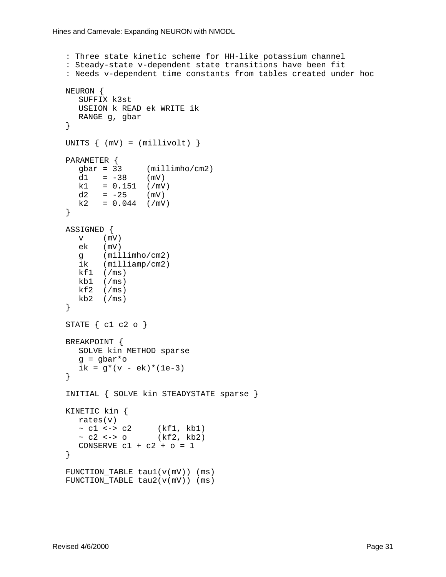```
: Three state kinetic scheme for HH-like potassium channel
: Steady-state v-dependent state transitions have been fit
: Needs v-dependent time constants from tables created under hoc
NEURON {
  SUFFIX k3st
  USEION k READ ek WRITE ik
  RANGE g, gbar
}
UNITS \{ (mV) = (millivolt) \}PARAMETER {
   gbar = 33 (millimho/cm2)
   d1 = -38 (mV)
  k1 = 0.151 (/mV)
  d2 = -25 (mV)
  k2 = 0.044 (/mV)
}
ASSIGNED {
  v (mV)
  ek (mV)
  g (millimho/cm2)
   ik (milliamp/cm2)
   kf1 (/ms)
  kb1 (/ms)
  kf2 (/ms)
  kb2 (/ms)
}
STATE { c1 c2 o }
BREAKPOINT {
  SOLVE kin METHOD sparse
  q = qbar*oik = g*(v - ek)*(1e-3)}
INITIAL { SOLVE kin STEADYSTATE sparse }
KINETIC kin {
  rates(v)
  \sim c1 \leftarrow > c2 \qquad (kf1, kb1)
  ~ c2 \le - 0 (kf2, kb2)
  CONSERVE c1 + c2 + o = 1}
FUNCTION_TABLE tau1(v(mV)) (ms)
FUNCTION_TABLE tau2(v(mV)) (ms)
```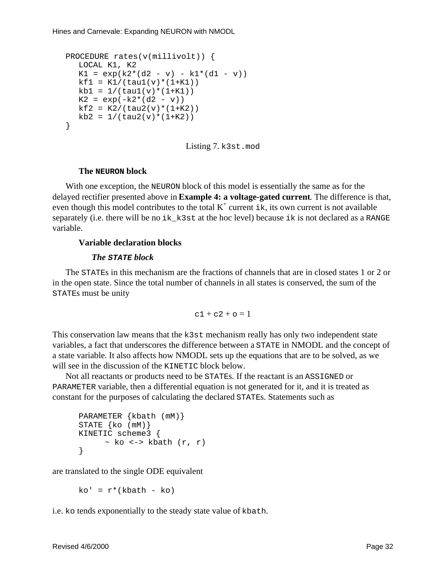```
PROCEDURE rates(v(millivolt)) {
  LOCAL K1, K2
  K1 = exp(k2*(d2 - v) - k1*(d1 - v))kf1 = K1/(tau1(v)*(1+K1))kb1 = 1/(tau(v)*(1+K1))K2 = exp(-k2*(d2 - v))kf2 = K2/(tau2(v)*(1+K2))kb2 = 1/(tau2(v)*(1+K2))}
```
Listing7. k3st.mod

#### **The NEURON block**

With one exception, the NEURON block of this model is essentially the same as for the delayed rectifier presented above in **Example 4: a voltage-gated current** . The difference is that,  $eventhough this model contributes to the total K$  $\alpha$ <sup>+</sup>current ik, its own current is not available  $separately (i.e. there will be no *i*k_k3s-tathehoclevel) because *i* kisnot declared as a *RANGE*$ variable.

### **Variable declaration blocks**

#### *The* **STATE** *block*

The STATE sinthis mechanism are the fractions of channels that are inclosed states 1 or 2 or in the open state. Since the total number of channels in all states is conserved, the sum of the STATE smust be unity

 $c1 + c2 + c=1$ 

This conservation law means that the k3st mechanism really has only two independent state variables, a fact that underscores the difference between a STATE in NMODL and the concept of a state variable . It also affects how NMODL sets up the equations that are to be solved, as we will see in the discussion of the KINETIC block below.

Not all reactants or products need to be STATES. If the reactantis and ASSIGNED or PARAMETER variable, then a differential equation is not generated for it, and it is treated as constant for the purposes of calculating the declared STATEs. Statements such as

```
PARAMETER {kbath (mM)}
STATE {ko (mM)}
KINETIC scheme3 {
     \sim ko \le > kbath (r, r)}
```
are translated to the single ODE equivalent

```
ko' = r*(khath - ko)
```
i.e. kotends exponentially to the steady state value of kbath.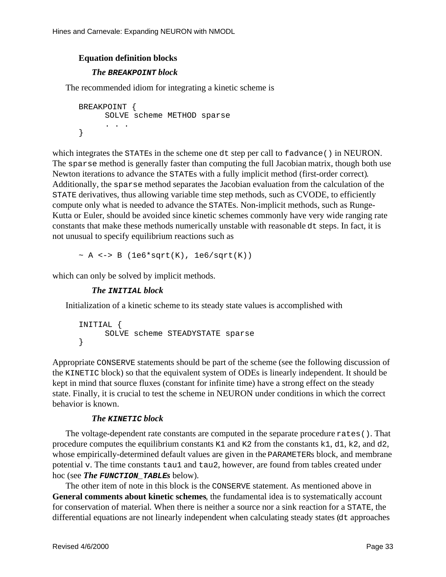### **Equation definition blocks**

### *The* **BREAKPOINT** *block*

The recommended idiom for integrating a kinetic scheme is

```
BREAKPOINT {
     SOLVE scheme METHOD sparse
      . . .
}
```
which integrates the STATEs in the scheme one dts tep percall to fadvance () in NEURON. The sparse methodis generally faster than computing the full Jacobian matrix, though both use Newton iterations to advance the STATEs with a fully implicit method (first-order correct) Additionally, the sparsemethod separates the Jacobian evaluation from the calculation of the STATE derivatives, thus allowing variable time step methods, such as CVODE, to efficiently compute only what is needed to advance the STATES. Non-implicit methods , such as Runge-Kutta or Euler, should be avoided since kinetics chemes commonly have very wide ranging rate constants that make the semethods numerically unstable with reasonable dtsteps. In fact, it is not unusual to specify equilibrium reactions such as

 $~\sim$  A <-> B (1e6\*sqrt(K), 1e6/sqrt(K))

which can only be solved by implicit methods.

### *The* **INITIAL** *block*

Initialization of a kinetic scheme to its steady state values is accomplished with

```
INITIAL {
     SOLVE scheme STEADYSTATE sparse
}
```
Appropriate CONSERVE statements should be part of the scheme (see the following discussion of the KINETIC block) so that the equivalent system of ODEs is linearly independent. It should be keptinmind that source fluxes (constant for infinite time) have a strong effect on the steady state. Finally, it is crucial to test the scheme in NEURON under conditions in which the correct behavioris known.

### *The* **KINETIC** *block*

The voltage-dependent rate constants are computed in the separate procedure rates (). That procedure computes the equilibrium constants  $K1$  and  $K2$  from the constants  $k1$ , d1, k2, and d2, whose empirically-determined default values are given in the PARAMETERs block, and membrane potential v. The time constants tau1 and tau2, however, are found from tables created under hoc (see *The* **FUNCTION\_TABLE***s* below) .

The other item of note in this block is the CONSERVE statement. As mentioned above in General comments about kinetic schemes , the fundamental idea is to systematically account for conservation of material . When the resistent hera source normalistic and strate the strate the differential equations are not linearly independent when calculating steady states (dtapproaches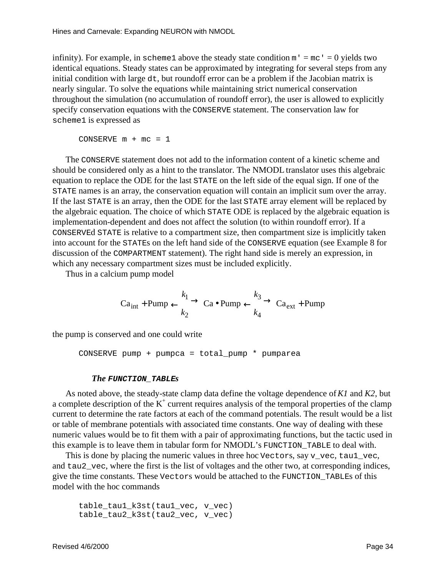infinity). For example, in  $s$ cheme 1 above the steady state condition  $m' = mc' = 0$  yields two identical equations. Steady states can be approximated by integrating for several steps from any initial condition with large dt, but round off error can be a problem if the Jacobian matrix is nearly singular. To solve the equations while maintaining strict numerical conservation throughout the simulation (no accumulation of roundoff error), the user is allowed to explicitly specify conservation equations with the CONSERVE statement. The conservation law for scheme1isexpressedas

CONSERVE  $m + mc = 1$ 

The CONSERVE statement does not add to the information content of a kinetic scheme and should be considered only as a hint to the translator. The NMODL translator uses this algebraic equation to replace the ODE for the last STATE on the left side of the equal sign. If one of the STATE names is an array , the conservation equation will contain an implicit sum over the array. If the last STATE is an array, then the ODE for the last STATE array element will be replaced by the algebraic equation. The choice of which STATE ODE is replaced by the algebraic equation is implementation-dependent and does not affect the solution (to within roundoff error). If a CONSERVEd STATE is relative to a compartment size, then compartments ize is implicitly taken into account for the STATE son the left hand side of the CONSERVE equation (see Example 8 for discussion of the COMPARTMENT statement). The right hand side is merely an expression, in which any necessary compartments izes must be included explicitly.

Thus inacalcium pump model

$$
\text{Ca}_{\text{int}} + \text{Pump} \xrightarrow[k_2]{} \text{Ca} \bullet \text{Pump} \xrightarrow[k_3]{} \text{Ca}_{\text{ext}} + \text{Pump}
$$

the pump is conserved and one could write

 $CONF$   $pump + pump - total$   $pump * pump$ 

#### *The* **FUNCTION\_TABLE***s*

As noted above, the steady-state clamp data define the voltage dependence of *K1* and *K2*, but acompletedescription of the K <sup>+</sup> current requires analysis of the temporal properties of the clamp current to determine the rate factors at each of the command potentials. The result would be alist or table of membrane potentials with associated time constants. One way of dealing with these numeric values would be to fit them with a pair of approximating functions, but the tactic used in this example is to leave the mintabular form for NMODL's FUNCTION\_TABLE to deal with.

This is done by placing the numeric values in three hoc Vectors, say v\_vec, tau1\_vec, and tau2 vec, where the first is the list of voltages and the other two, at corresponding indices, give the time constants. These Vectors would be attached to the FUNCTION\_TABLEs of this model with the hoccommands

```
table tau1 k3st(tau1 vec, v vec)
table_tau2_k3st(tau2_vec, v_vec)
```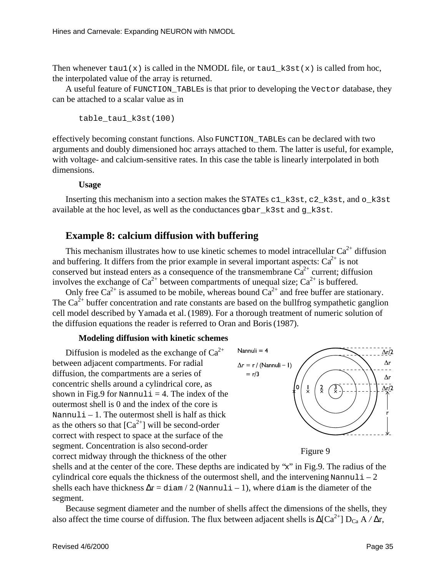Then whenever  $tau(x)$  is called in the NMODL file, or  $tau(x)$  is called from hoc, the interpolated value of the array is returned.

Auseful feature of FUNCTION TABLEs is that prior to developing the Vector database, they can beattached to a scalar value as in

table\_tau1\_k3st(100)

effectively becoming constant functions. Also FUNCTION TABLEs can be declared with two arguments and doubly dimensioned hoc arrays attached to them. The latter is useful, for example, with voltage-and calcium-sensitive rates. In this case the table is linearly interpolated in both dimensions.

**Usage**

Inserting this mechanism into a section makes the STATEs c1\_k3st, c2\_k3st, and o\_k3st available at the hoclevel, as well as the conductances gbar k3st and g k3st.

# **Example 8: calcium diffusion with buffering**

This mechanism illustrates how to use kinetics chemes to model intracellular Ca  $\frac{2^+}{1}$  diffusion buffering It differs from the prior example in several important aspects: Ca  $\frac{2^+}{1}$  is not and buffering. It differs from the prior example in several important aspects: Ca conserved but instead enters as a consequence of the transmembrane Ca  $2^+$  current; diffusion conserved but instead enters as a consequence of the transmembrane Ca  $2^+$  current; diffusively involves the exchange of Ca  $2^+$  between compartments of unequal size; Ca  $2^+$  is buffered. involves the exchange of Ca  $^{2+}$  between compartments of unequal size; Ca

Only free Ca  $2+$  is assumed to be mobile, whereas bound Ca  $2+$  and free buffer are stationary. The Ca  $2^+$  buffer concentration and rate constants are based on the bull frog sympathetic ganglion cell model described by Yamada et al. (1989). For a thorough treatment of numeric solution of the diffusion equations the reader is referred to Oran and Boris (1987).

### **Modeling diffusion with kinetic schemes**

Diffusion is modeled as the exchange of Ca  $^{2+}$ betweenadjacent compartments. For radial diffusion, the compartments are aseries of concentric shells around a cylindrical core, as  $shownin Fig.9 for *Nannuli* = 4. The index of the$ outermost shell is 0 and the index of the core is  $Nannul_i - 1$ . The outermostshell is half as thick as the others so that  $\left[Ca\right]$ <sup>2+</sup>] will be second-order correct with respect to space at the surface of the segment. Concentration is also second-order correct midway through the thickness of the other



Figure9

shells and at the center of the core. These depths are indicated by " x" in Fig. 9. The radius of the cylindrical core equals the thickness of the outermosts hell, and the intervening Nannuli – 2 shells each have thickness  $\Delta r = \text{diam}/2$  (Nannul i–1), where diam is the diameter of the segment.

Because segment diameter and the number of shells affect the d imensions of the shells, they also affect the time course of diffusion. The flux between adjacent shells is  $\Delta [Ca^{2+}]D_{Ca}A / \Delta r$ ,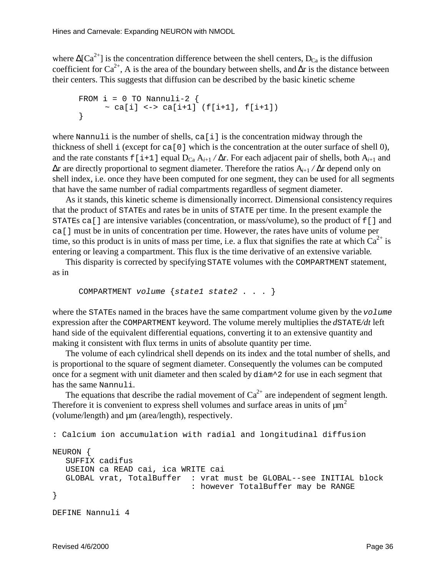where  $\Delta [Ca^{2+}]$  is the concentration difference between the shell centers, D  $C_a$  is the diffusion coefficient for Ca <sup>2+</sup>, A is the area of the boundary between shells, and ∆r is the distance between their centers. This suggests that diffusion can be described by the basic kinetics cheme

```
FROM i = 0 TO Nannuli-2 {
      \sim ca[i] <-> ca[i+1] (f[i+1], f[i+1])
}
```
where Nannul is the number of shells, ca $[i]$  is the concentration midway through the thickness of shell i (except for ca[0] which is the concentration at the outer surface of shell 0), and the rate constants f[i+1] equal D  $_{Ca}A_{i+1}/\Delta r$ . For each adjacent pair of shells, both A  $_{i+1}$  and ∆r are directly proportional to segment diameter. Therefore the ratios A *i*+1 / ∆r depend only on shellindex, i.e. once they have been computed for one segment, they can be used for all segments that have the same number of radial compartments regardless of segment diameter.

Asitstands, this kinetics cheme is dimensionally incorrect. Dimensional consistency requires that the product of STATEs and rates bein units of STATE per time. In the present example the STATES ca[] are intensive variables (concentration, or mass/volume), so the product of f[] and ca [] must be in units of concentration per time. However, the rates have units of volume per time, so this product is in units of mass per time, i.e. a flux that signifies the rate at which Ca  $^{2+}$  is entering or leaving a compartment. This flux is the time derivative of an extensive variable

This disparity is corrected by specifying STATE volumes with the COMPARTMENT statement, as in

```
COMPARTMENT volume {state1 state2 . . . }
```
where the STATEs named in the braces have the same compartment volume given by the volume expression after the COMPARTMENT keyword. The volume merely multiplies the *d*STATE*/dt* left hand side of the equivalent differential equations, converting it to an extensive quantity and making it consistent with flux terms in units of absolute quantity per time.

The volume of each cylindrical shell depends on its index and the total number of shells, and is proportional to the square of segment diameter. Consequently the volumes can be computed once for a segment with unit diameter and then scaled by diam<sup> $\sim$ </sup> 2 for use ineach segment that has the same Nannuli.

The equations that describe the radial movement of Ca  $^{2+}$  are independent of segment length. Thereforeitis convenient to express shell volumes and surface areas in units of  $\mu$ m (volume/length) and  $µm$  (area/length), respectively.

```
: Calcium ion accumulation with radial and longitudinal diffusion
NEURON {
  SUFFIX cadifus
  USEION ca READ cai, ica WRITE cai
  GLOBAL vrat, TotalBuffer : vrat must be GLOBAL--see INITIAL block
                              : however TotalBuffer may be RANGE
}
DEFINE Nannuli 4
```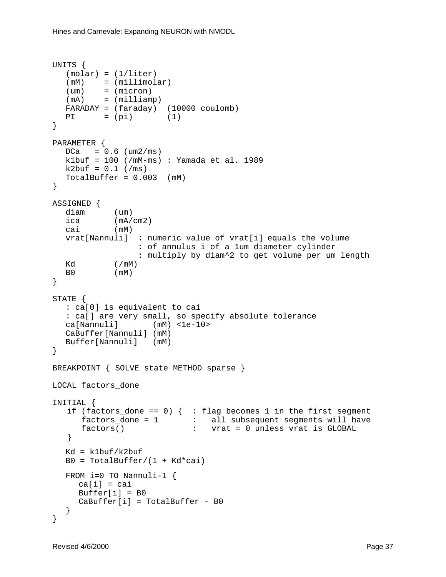```
UNITS {
  (molar) = (1/liter)(mM) = (millimolar)
  (um) = (micron)
  (mA) = (milliamp)FARADAY = (faraday) (10000 coulomb)
  PI = (pi) (1)
}
PARAMETER {
  DCa = 0.6 (um2/ms)
  k1buf = 100 (/mM-ms) : Yamada et al. 1989
  k2but = 0.1 (/ms)
  TotalBuffer = 0.003 (mM)
}
ASSIGNED {
  diam (um)
  ica (mA/cm2)
  cai (mM)
  vrat[Nannuli] : numeric value of vrat[i] equals the volume
                  : of annulus i of a 1um diameter cylinder
                  : multiply by diam^2 to get volume per um length
  Kd (/mM)
  B0 (mM)
}
STATE {
  : ca[0] is equivalent to cai
  : ca[] are very small, so specify absolute tolerance
  ca[Nannuli] (mM) <1e-10>
  CaBuffer[Nannuli] (mM)
  Buffer[Nannuli] (mM)
}
BREAKPOINT { SOLVE state METHOD sparse }
LOCAL factors done
INITIAL {
  if (factors_done == 0) { : flag becomes 1 in the first segment
     factors_done = 1 : all subsequent segments will have
     factors() \qquad \qquad : \qquad \text{vrat} = 0 \text{ unless vrat is GLOBAL} }
  Kd = k1but/k2bufB0 = TotalBuffer / (1 + Kd*cai)FROM i=0 TO Nannuli-1 {
     ca[i] = caiBuffer[i] = B0CaBuffer[i] = TotalBuffer - B0
  }
}
```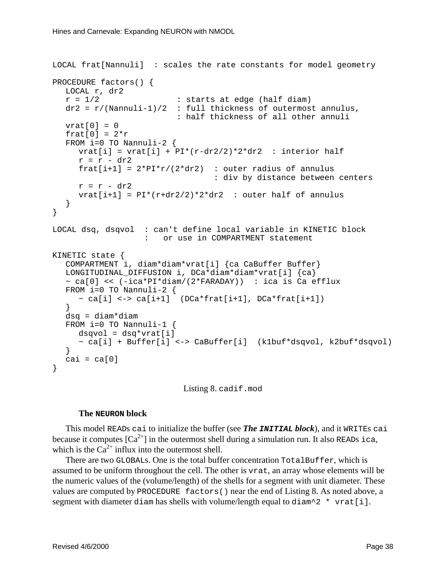```
LOCAL frat[Nannuli] : scales the rate constants for model geometry
PROCEDURE factors() {
  LOCAL r, dr2
  r = 1/2 : starts at edge (half diam)
  dr2 = r/(Nannuli-1)/2 : full thickness of outermost annulus,
                         : half thickness of all other annuli
  vrat[0] = 0frat[0] = 2*rFROM i=0 TO Nannuli-2 \{vrat[i] = vrat[i] + PI*(r-dr2/2)*2*dr2 : interior half
     r = r - dr2frat[i+1] = 2*PI*r/(2*dr2) : outer radius of annulus
                                 : div by distance between centers
     r = r - dr2vrat[i+1] = PI*(r+dr2/2)*2*dr2 : outer half of annulus
  }
}
LOCAL dsq, dsqvol : can't define local variable in KINETIC block
                   : or use in COMPARTMENT statement
KINETIC state {
  COMPARTMENT i, diam*diam*vrat[i] {ca CaBuffer Buffer}
  LONGITUDINAL_DIFFUSION i, DCa*diam*diam*vrat[i] {ca}
  \sim ca[0] << (-ica*PI*diam/(2*FARADAY)) : ica is Ca efflux
  FROM i=0 TO Nannuli-2 \{\sim ca[i] <-> ca[i+1] (DCa*frat[i+1], DCa*frat[i+1])
  }
  dsq = diam*diam
  FROM i=0 TO Nannuli-1 \{dsqvol = dsq*vrat[i]~ ca[i] + Buffer[i] <-> CaBuffer[i] (k1buf*dsqvol, k2buf*dsqvol)
  }
  cai = ca[0]}
```
Listing 8. cadif.mod

#### **The NEURON block**

This model READs caitoinitialize the buffer (see *The INITIALblock*), and it WRITES cai because it computes  $\begin{bmatrix} Ca & ^{2+} \end{bmatrix}$  in the outermost shell during a simulation run. It also READS ica, which is the Ca  $^{2+}$  influx into the outermost shell.

There are two GLOBALs. One is the total buffer concentration Total Buffer, which is assumed to be uniform throughout the cell. The other is vrat, an array whose elements will be the numeric values of the (volume/length) of the shells for a segment with unit diameter. These values are computed by PROCEDURE factors() near the end of Listing 8. As noted above, a segment with diam has shell swith volume / length equal to diam^2 \* vrat[i].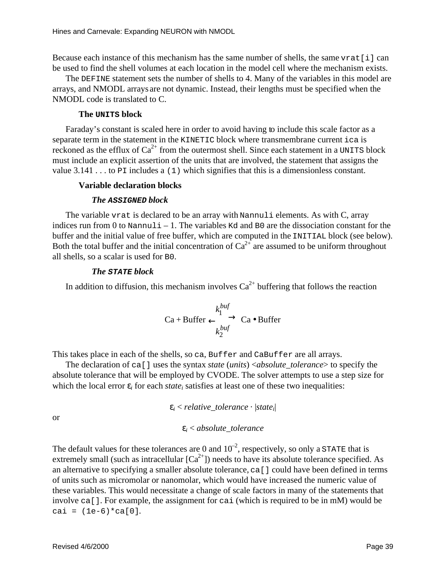Because each instance of this mechanism has the same number of shells, the same vrat [i] can be used to find the shell volumes at each location in the model cell where the mechanism exists.

The DEFINE statement sets the number of shells to 4. Many of the variables in this model are arrays, and NMODL arrays are not dynamic. Instead, their lengths must be specified when the NMODL code is translated to C.

#### **The UNITS block**

Faraday's constant is scaled here in order to avoid having two include this scale factor as a separate term in the statement in the KINETIC block where transmembrane current ica is reckoned as the efflux of  $Ca^{-2+}$  from the outermost shell. Since each statement in a UNITS block must include an explicit assertion of the units that are involved, the statement that assigns the value 3.141...to PI includes a (1) which signifies that this is a dimensionless constant

#### **Variable declaration blocks**

#### *The* **ASSIGNED** *block*

The variable vratisde clared to be an array with Nannuli elements. As with C, array indices run from 0 to Nannuli-1. The variables Kd and B0 are the dissociation constant for the buffer and the initial value of free buffer, which are computed in the INITIAL block (see below).<br>Both the total buffer and the initial concentration of Ca  $2+$  are assumed to be uniform throughout Both the total buffer and the initial concentration of Ca all shells, so a scalar is used for B0.

#### *The* **STATE** *block*

In addition to diffusion, this mechanism involves  $Ca^2$  buffering that follows the reaction

$$
\text{Ca} + \text{Buffer} \xrightarrow[k_2^{buf}]{k_1^{buf}} \text{Ca} \bullet \text{Buffer}
$$

This takes place in each of the shells, so ca, Buffer and CaBuffer are all arrays.

The declaration of ca<sup>[]</sup> uses the syntax *state* (*units*) < *absolute\_tolerance* > to specify the absolute tolerance that will beemployed by CVODE. The solver attempts to use a step size for which the local error ε<sub>*i*</sub> for each *state*<sub>*i*</sub>s at is fies at least one of these two inequalities:

> ε*i* < *relative\_tolerance* · | *state<sup>i</sup>* |

or

ε*i* < *absolute\_tolerance*

The default values for these tolerances are 0 and 10  $^{-2}$ , respectively, so only a STATE that is extremely small (such as intracellular  $\left[Ca^{-2+}\right]$ ) needs to have its absolute tolerance specified. As an alternative to specifying a smaller absolute tolerance,  $ca[$  could have been defined in terms of units such as micromolar or nanomolar, which would have increased the numeric value of these variables. This would necessitate a change of scale factors in many of the statements that involve ca[]. For example, the assignment for cai (which is required to be in mM) would be cai =  $(1e-6)*ca[0].$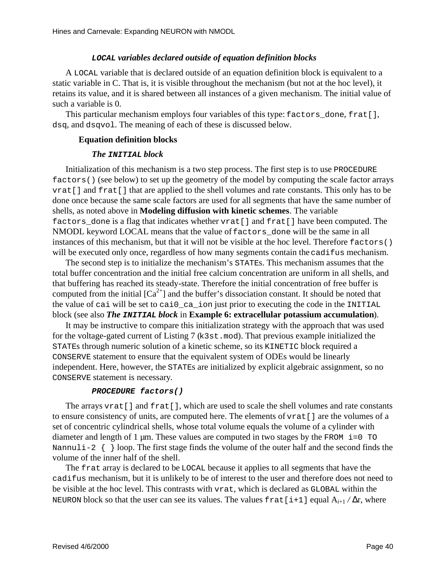### **LOCAL** *variables declared outside of equation definition blocks*

A LOCAL variable that is declared outside of an equation definition block is equivalent to a static variable in C. That is, it is visible throughout the mechanism (but not at the hoclevel), it retains its value, and it is shared between all instances of a given mechanism. The initial value of such a variable is 0.

This particular mechanism employs four variables of this type: factors\_done, frat [], dsq, and dsqvol. The meaning of each of these is discussed below.

## **Equation definition blocks**

## *The* **INITIAL** *block*

Initialization of this mechanism is a two step process. The first step is to use PROCEDURE factors() (seebelow) to set up the geometry of the model by computing the scale factor arrays vrat [] and frat [] that are applied to the shell volume sand rate constants. This only has to be done once because the same scale factors are used for all segments that have the same number of shells, as noted above in **Modeling diffusion with kinetic schemes** . The variable factors done is a flag that indicates whether vrat [] and frat [] have been computed. The NMODL keyword LOCAL means that the value of factors done will be the same in all instances of this mechanism, but that it will not be visible at the hoclevel . Therefore factors () will be executed only once, regardless of how many segments contain the cadifus mechanism.

The second step is to initialize the mechanism's STATES. This mechanism assumes that the total buffer concentration and the initial free calcium concentration are uniforminall shells, and that buffering has reached its steady-state. Therefore the initial concentration of free buffer is computed from the initial  $\int Ca$   $^{2+}$  and the buffer's dissociation constant. It should be noted that the value of cai will be set to caio\_ca\_ion just prior to executing the code in the INITIAL block(see also *The INITIALblock* in **Example 6: extracellular potassium accumulation**).

It may be instructive to compare this initialization strategy with the approach that was used for the voltage-gated current of Listing 7 (k3st.mod). That previous example initialized the STATEs through numerics olution of a kinetic scheme, so its KINETIC block required a CONSERVE statement to ensure that the equivalent system of ODEs would belinearly independent. Here, however, the STATEs are initialized by explicital gebraic assignment, so no CONSERVE statement is necessary .

### **PROCEDURE factors()**

The arrays vrat [] and frat [], which are used to scale the shell volume sand rate constants to ensure consistency of units, are computed here. The elements of vrat [] are the volumes of a set of concentric cylindrical shells, whose total volume equals the volume of a cylinder with diameter and length of 1 µm. These values are computed in two stages by the FROM i=0 TO Nannuli-2 { } loop . The first stage finds the volume of the outer half and the second finds the volume of the inner half of the shell.

The frat array is declared to be LOCAL because it applies to all segments that have the cadifus mechanism, butitis unlikely to be of interest to the user and therefore does not need to bevisible at the hoclevel. This contrasts with vrat, which is declared as GLOBAL within the NEURON blocks othat the user can see its values. The values frat[i+1] equal A  $_{i+1}$  / ∆r, where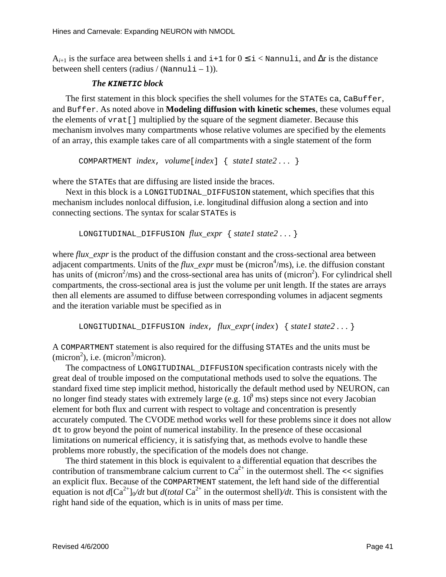A<sub>*i*+1</sub> is the surface area between shells i and i+1 for  $0 \le i <$  Nannuli, and ∆r is the distance betweenshell centers (radius /  $(\text{Nannuli}-1)$ ).

### *The* **KINETIC** *block*

The first statem entinthis block specifies the shell volumes for the STATES ca, CaBuffer, and Buffer. As noted above in **Modeling diffusion with kinetic schemes** , these volumes equal the elements of vrat [] multiplied by the square of the segment diameter. Because this mechanism involves many compartments whose relative volumes are specified by the elements of an array, this example takes care of all compartments with a single statement of the form

COMPARTMENT *index*, *volume*[*index*] { *state1 state2 . . .* }

where the STATEs that are diffusing are listed inside the braces.

Nextinthisblockisa LONGITUDINAL\_DIFFUSION statement, which specifies that this mechanism includes nonlocal diffusion, i.e. longitudinal diffusional ongasection and into connecting sections. The syntax for scalar STATES is

```
LONGITUDINAL_DIFFUSION flux\_expr \{ state1 state2... \}
```
where *flux\_expr* is the product of the diffusion constant and the cross-sectional area between adjacent compartments. Units of the *flux\_expr* must be (micron <sup>4</sup>/ms), i.e. the diffusion constant has units of (micron  $\frac{2}{ms}$ ) and the cross-sectional area has units of (micron  $\frac{2}{s}$  $^{2}$ ). For cylindrical shell compartments, the cross-sectional area is just the volume per unit length. If the states are arrays then all elements are assumed to diffuse between corresponding volumes in adjacent segments and the iteration variable must be specified as in

LONGITUDINAL\_DIFFUSION *index*, *flux\_expr*(*index*) { *state1 state2 . . .* }

A COMPARTMENT statement is also required for the diffusing STATE sand the units must be  $(micron<sup>2</sup>)$ , i.e. (micron  $3/micron$ ).

The compactness of LONGITUDINAL\_DIFFUSION specification contrasts nicely with the great deal of trouble imposed on the computational methods used to solve the equations. The standard fixed timestep implicit method, historically the default method used by NEURON, can no longer find steady states with extremely large  $(e.g. 10$  $<sup>9</sup>$ ms) steps since not every Jacobian</sup> element for both flux and current with respect to voltage and concentration is presently accurately computed. The CVODE method works well for these problems since it does not allow dt to grow beyond the point of numerical instability. In the presence of these occasional limitations on numerical efficiency, it is satisfying that, as methods evolve to handle these problems more robustly, the specification of the models does not change.

The third statement in this block is equivalent to a differential equation that describes the contribution of transmembrane calcium current to  $Ca^{-2+}$  in the outermost shell. The  $\leq$  signifies an explicit flux. Because of the COMPARTMENT statement, the left hand side of the differential equation is not  $d[\text{Ca}^{2+}]\text{O}/dt$  but  $d(total\text{Ca}^{2+}$  in the outermostshell)  $/dt$ . This is consistent with the right hand side of the equation, which is in units of mass per time.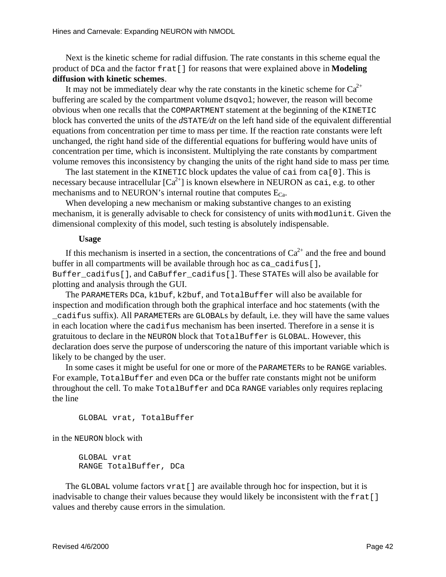Nextisthe kinetic scheme for radial diffusion . The rate constants in this scheme equal the product of DCa and the factor frat [] for reasons that we reexplained above in **Modeling** diffusion with kine tics chemes .

It may not be immediately c lear why the rate constants in the kinetic scheme for Ca  $^{2+}$ buffering are scaled by the compartment volume dsqvol; however, the reason will become obvious when one recalls that the COMPARTMENT statement at the beginning of the KINETIC block has converted the units of the *d*STATE/*dt* on the left hand side of the equivalent differential equations from concentration per time to mass per time. If the reaction rate constants were left unchanged, the right hand side of the differential equations for buffering would have units of concentration per time, which is inconsistent. Multiplying the rate constants by compartment volume removes this inconsistency by changing the units of the right hands ide to mass per time

The last statement in the KINETIC block updates the value of cai from ca[0]. This is necessary because intracellular  $\int Ca^{-2+}$  is known elsewhere in NEURON as cai, e.g. to other mechanisms and to NEURON's internal routine that computes  $E_{\text{Ca}}$ .

Whendeveloping anew m echanism or making substantive changes to an existing mechanism, it is generally advisable to check for consistency of units with modlunit. Given the dimensional complexity of this model, such testing is absolutely indispensable.

#### **Usage**

If this mechanism is inserted in a section, the concentrations of Ca  $^{2+}$  and the free and bound bufferinall compartments will be available through hocas ca\_cadifus[], Buffer\_cadifus[], and CaBuffer\_cadifus[]. These STATEs will also be available for plotting and analysis through the GUI.

The PARAMETERS DCa, k1buf, k2buf, and TotalBuffer will also be available for inspection and modification through both the graphical interface and hoc statements (with the \_cadifus suffix). All PARAMETERs are GLOBALs by default , i.e. they will have the same values in each location where the cadifus mechanism has been inserted. Therefore in a sense it is gratuitous to declare in the NEURON block that TotalBuffer is GLOBAL. However, this declaration does serve the purpose of underscoring the nature of this important variable which is likely to be changed by the user.

Insome cases it might be useful for one or more of the PARAMETERS to be RANGE variables. For example, TotalBuffer and even DCa or the buffer rate constants might not be uniform throughout the cell. To make Total Buffer and DCa RANGE variables only requires replacing theline

GLOBAL vrat, TotalBuffer

in the NEURON block with

GLOBAL vrat RANGE TotalBuffer, DCa

The GLOBAL volume factors vrat [] are available through hoc for inspection, but it is inadvisable to change their values because they would likely be inconsistent with the frat [] values and thereby cause errors in the simulation.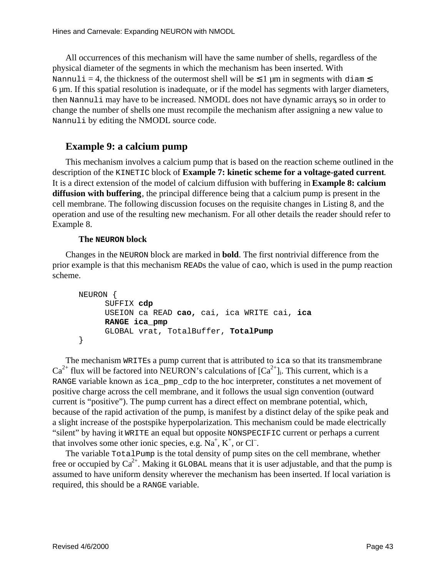All occurrences of this mechanism will have the same number of shells, regardless of the physical diameter of the segments in which the mechanism has been inserted. With  $Nannu1i = 4, the thickness of the outermost shell will be \n\leq 1 \n\mu \n\text{minsegments with} \n\text{diam } \leq$ 6um. If this spatial resolution is inadequate, or if the model has segments with larger diameters, then Nannuli may have to be increased. NMODL does not have dynamic arrays soin order to change the number of shells one must recompile the mechanism after assigning a new value to Nannuli by editing the NMODL source code.

## **Example9:acalciumpump**

This mechanism involves a calcium pump that is based on the reaction scheme outlined in the description of the KINETIC block of **Example 7: kinetics cheme for a voltage-gated current** Itisadirect extension of the model of calcium diffusion with buffering in **Example 8: calcium diffusion with buffering** , the principal difference being that a calcium pump is present in the cell membrane. The following discussion focuses on the requisite changes in Listing 8, and the operation and use of the resulting new mechanism. For all other details the reader should refer to Example 8.

## **The NEURON block**

Changes in the NEURON block are marked in **bold**. The first nontrivial difference from the prior example is that this mechanism READs the value of cao, which is used in the pump reaction scheme.

```
NEURON {
     SUFFIX cdp
     USEION ca READ cao, cai, ica WRITE cai, ica
     RANGE ica_pmp
     GLOBAL vrat, TotalBuffer, TotalPump
}
```
The mechanism WRITEs a pump current that is attributed to icas othat its transmembrane  $Ca^{2+}$  flux will be factored into NEURON's calculations of [Ca  $2+$ <sub>1</sub>. This current, which is a RANGE variable known as ica\_pmp\_cdp to the hoc interpreter, constitutes anet movement of positive charge across the cell membrane, and it follows the usual sign convention (outward current is "positive"). The pump current has a direct effect on membrane potential, which, because of the rapid activation of the pump, is manifest by a distinct delay of the spike peak and aslight increase of the postspike hyperpolarization. This mechanism could be made electrically "silent" by having it WRITE an equal but opposite NONSPECIFIC current or perhaps a current that involves some other ionic species, e.g. Na  $,K<sup>+</sup>$ , or Cl<sup>-</sup>.

The variable TotalPump is the total density of pump sites on the cell membrane, whether free or occupied by Ca  $^{2+}$ . Making it GLOBAL means that it is user adjustable, and that the pump is assumed to have uniform density wherever the mechanism has been inserted. If local variation is required, this should be a RANGE variable.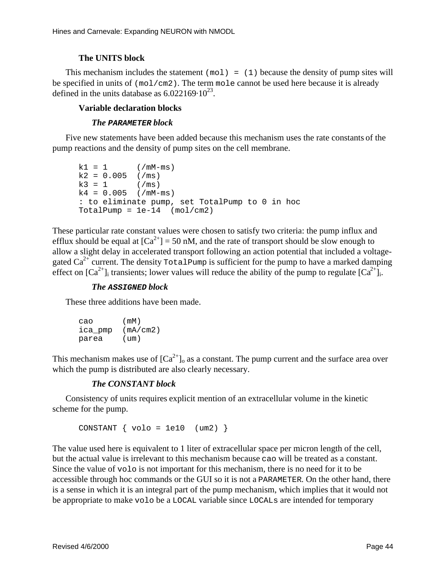### **The UNITS block**

This mechanism includes the statement  $(\text{mol}) = (1)$  because the density of pump sites will be specified in units of  $(mol/cm2)$ . The term mole cannot be used the rebecause it is already defined in the units database as  $6.022169 \cdot 10^{-23}$ .

### **Variable declaration blocks**

#### *The* **PARAMETER** *block*

Five new statements have been added because this mechanism uses the rate constants of the pumpreactions and the density of pump sites on the cell membrane.

```
k1 = 1 (/mM-ms)
k2 = 0.005 (/ms)<br>k3 = 1 (/ms)
k3 = 1k4 = 0.005 (/mM-ms)
: to eliminate pump, set TotalPump to 0 in hoc
TotalPump = 1e-14 (mol/cm2)
```
These particular rate constant values were chosen to satisfy two criteria: the pump influx and efflux should be equal at  $[Ca \t2^+] = 50 \text{nM}$ , and the rate of transport should be slow enough to allow a slight delay in accelerated transport following an action potential that included a voltagegated Ca<sup>2+</sup> current. The density  $T$  otal Pump is sufficient for the pump to have a marked damping effecton [Ca  $2+1$ ]<sub>i</sub>transients; lower values will reduce the ability of the pump to regulate [Ca  $2+1$ ]  $\mathcal{L}_{i}$ .

#### *The* **ASSIGNED** *block*

These three additions have been made.

| cao     | (mM)              |
|---------|-------------------|
| ica_pmp | (mA/cm2)          |
| parea   | (u <sub>m</sub> ) |

This mechanism makes use of  $Ca$ <sup>2+</sup>]<sub>o</sub> as a constant. The pump current and the surface area over which the pump is distributed are also clearly necessary.

### *The CONSTANT block*

Consistency of units requires explicit mention of an extracellular volume in the kinetic schemeforthepump.

CONSTANT  $\{ \text{vol} \circ = \text{1e10} \quad (\text{um2}) \}$ 

The value used here is equivalent to 1 liter of extracellular space per micron length of the cell, but the actual value is irrelevant to this mechanism because cao will be treated as a constant. Since the value of volo is not important for this mechanism, there is no need for it to be accessible through hoc commands or the GUI so it is not a PARAMETER. On the other hand, there is a sense in which it is an integral part of the pump mechanism, which implies that it would not be appropriate to make volobea LOCAL variable since LOCAL sare intended for temporary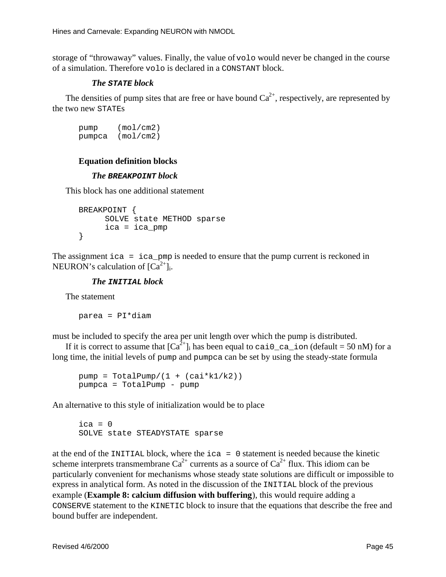storage of "throwaway" values. Finally, the value of volowould never be changed in the course of a simulation. Therefore volois declared in a CONSTANT block.

### *The* **STATE** *block*

The densities of pump sites that are free or have bound Ca  $^{2+}$ , respectively, are represented by the two new STATES

pump (mol/cm2) pumpca (mol/cm2)

## **Equation definition blocks**

## *The* **BREAKPOINT** *block*

This block has one additional statement

```
BREAKPOINT {
     SOLVE state METHOD sparse
     ica = ica_pmp
}
```
The assignment  $i$  ca =  $i$  ca\_pmp is needed to ensure that the pump current is reckoned in NEURON's calculation of  $\left[$  Ca  $^{-2+}$   $\right]$ <sub>i</sub>.

## *The* **INITIAL** *block*

**Thestatement** 

parea = PI\*diam

must be included to specify the area per unit length over which the pump is distributed.

Ifitiscorrecttoassumethat  $\text{[Ca} \quad {}^{2+}\text{]}_i$  has been equal to cail calculd calculum = 50nM) for a long time, the initial levels of pump and pumpca can be set by using the steady-state formula

```
pump = TotalPump/(1 + (cai*kl/k2))pumpca = TotalPump - pump
```
An alternative to this style of initialization would be to place

```
ica = 0SOLVE state STEADYSTATE sparse
```
at the end of the INITIAL block, where the ica = 0 statement is needed because the kinetic scheme interprets transmembrane Ca  $^{2+}$  currents as a source of Ca  $^{2+}$  flux. This idiom can be particularly convenient for mechanisms whose steady states olutions are difficult or impossible to expressinanalytical form. As noted in the discussion of the INITIAL block of the previous example (**Example 8: calcium diffusion with buffering** ), this would require adding a CONSERVE statement to the KINETIC block to insure that the equations that describe the free and boundbufferareindependent.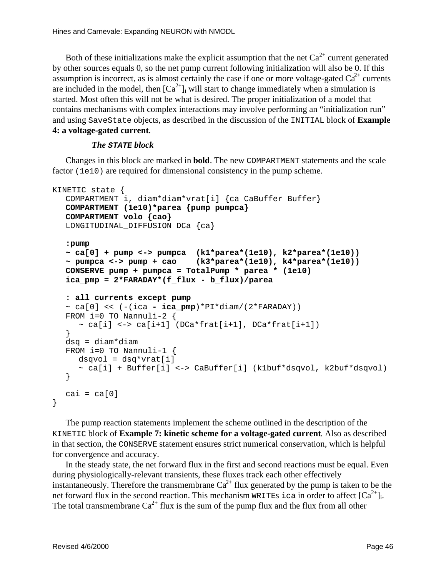Both of these initializations make the explicit assumption that the net Ca  $^{2+}$  current generated by other sources equals 0, so the net pump current following initialization will also be 0. If this assumption is incorrect, as is almost certainly the case if one or more voltage-gated Ca  $^{2+}$  currents are included in the model, then [Ca  $2+$ <sub>l</sub>will start to change immediately when as imulation is started. Most of tenthis will not be what is desired. The proper initialization of a model that contains mechanisms with complex interactions may involve performing an "initialization run" andusing SaveStateobjects, as described in the discussion of the INITIAL block of **Example 4: a voltage-gated current** .

#### *The* **STATE** *block*

Changes in this block are marked in **bold**. The new COMPARTMENT statements and the scale factor (1e10) are required for dimensional consistency in the pump scheme.

```
KINETIC state {
  COMPARTMENT i, diam*diam*vrat[i] {ca CaBuffer Buffer}
  COMPARTMENT (1e10)*parea {pump pumpca}
  COMPARTMENT volo {cao}
  LONGITUDINAL_DIFFUSION DCa {ca}
  :pump
  ~ ca[0] + pump <-> pumpca (k1*parea*(1e10), k2*parea*(1e10))
  ~ pumpca <-> pump + cao (k3*parea*(1e10), k4*parea*(1e10))
  CONSERVE pump + pumpca = TotalPump * parea * (1e10)
  ica_pmp = 2*FARADAY*(f_flux - b_flux)/parea
  : all currents except pump
  \sim ca[0] << (-(ica - ica\_pmp)*PI*diam/(2*FARADAY))FROM i=0 TO Nannuli-2 {
     \sim ca[i] <-> ca[i+1] (DCa*frat[i+1], DCa*frat[i+1])
   }
  dsq = diam *diamFROM i=0 TO Nannuli-1 {
     dsqvol = dsq*vrat[i]~ ca[i] + Buffer[i] <-> CaBuffer[i] (k1buf*dsqvol, k2buf*dsqvol)
  }
  cai = ca[0]}
```
The pump reaction statements implement the scheme outlined in the description of the KINETIC block of **Example 7: kinetic scheme for a voltage-gated current** . Also as described inthat section, the CONSERVE statement ensures strict numerical conservation, which is helpful for convergence and accuracy.

In the steady state, the net forward flux in the first and second reactions must be equal. Even during physiologically-relevant transients, these fluxes tracked conthereffectively instantaneously. Therefore the transmembrane Ca  $^{2+}$  flux generated by the pump is taken to be the net forward flux in the second reaction. This mechanism WRITES i cain order to affect [Ca  $2^{+}$ ]<sub>i</sub>. The total transmembrane Ca  $^{2+}$  flux is the sum of the pump flux and the flux from all other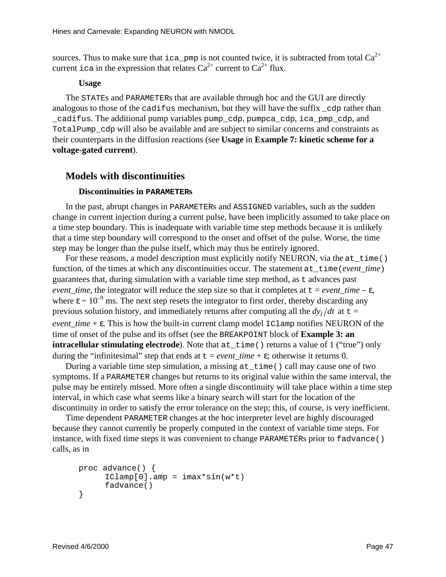sources. Thus to make sure that ica\_pmp is not counted twice, it is subtracted from total Ca  $^{2+}$ current i cain the expression that relates Ca  $^{2+}$  current to Ca  $^{2+}$  flux.

#### **Usage**

The STATEs and PARAMETERs that are available through hoc and the GUI are directly analogous to those of the cadifus mechanism, but they will have the suffix cdp rather than \_cadifus. The additional pump variables pump\_cdp, pumpca\_cdp, ica\_pmp\_cdp, and TotalPump\_cdp will also be available and are subject to similar concerns and constraints as their counterparts in the diffusion reactions (see **Usagein Example 7: kinetics cheme for a voltage-gated current** ).

## **Models with discontinuities**

### **Discontinuities in PARAMETERs**

In the past, abrupt changes in PARAMETER sand ASSIGNED variables , such as the sudden change in current injection during a current pulse, have been implicitly assumed to take place on atimestepboundary . This is inadequate with variable timestep methods because it is unlikely that a time step boundary will correspond to the onset and offset of the pulse. Worse, the time step may be longer than the pulse itself, which may thus be entirely ignored.

For these reasons, a model description must explicitly notify NEURON, via the  $at$  time() function, of the times at which any discontinuities occur. The statement at time (*event time*) guarantees that, during simulation with a variable times tep method, as tadvances past *event time*, the integrator will reduce the step size so that it completes at t = *event time* – ε, where  $\varepsilon$  ~10  $^{-9}$  ms. The next step resets the integrator to first order, thereby discarding any previous solution history, and immediately returns after computing all the  $dy_i/dt$  at  $t =$ *event\_time* + ε. This is how the built-incurrent clamp model IClamp notifies NEURON of the time of onset of the pulse and its offset (see the BREAKPOINT block of **Example 3: an intracellular stimulating electrode** ). Note that  $at_time()$  returns avalue of 1 ("true") only during the "infinitesimal" step that ends at t = *event time* + ε; otherwise it returns 0.

During a variable timestep simulation, a missing  $at$  time() call may cause one of two symptoms. If a PARAMETER changes but returns to its original value within the same interval, the pulse may be entirely missed. More often as inglediscontinuity will take place within a time step interval, in which case what seems like a binary search will start for the location of the discontinuity in order to satisfy the error tolerance on the step; this, of course, is very inefficient.

Time dependent PARAMETER changes at the hocinterpreter level are highly discouraged because they cannot currently be properly computed in the context of variable timesteps. For instance, with fixed time steps it was convenient to change PARAMETERs prior to fadvance () calls, as in

```
proc advance() {
     IClamp[0].amp = imax*sin(w*t)fadvance()
}
```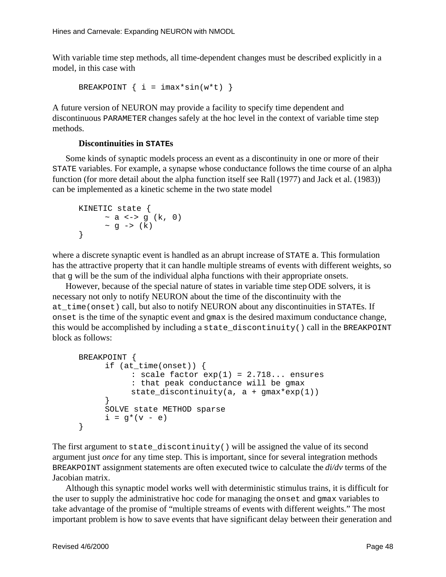With variable timestep methods, all time-dependent changes must be described explicitly in a model, in this case with

```
BREAKPOINT \{ i = \text{imax*}\sin(w*t) \}
```
A future version of NEURON may provide a facility to specify time dependent and discontinuous PARAMETER changes safely at the hoclevel in the context of variable time step methods.

## **Discontinuities in STATES**

Somekinds of synaptic models process an event as a discontinuity in one or more of their STATE variables . For example, as ynapse whose conductance follows the time course of an alpha function (for more detail about the alpha function itself see Rall (1977) and Jack et al. (1983)) can be implemented as a kinetic scheme in the two state model

```
KINETIC state {
       \sim a \le -\frac{1}{2} (k, 0)
        ~\sim q ~\rightarrow~ (k)
}
```
where a discrete synaptic event is handled as an abrupt increase of STATE a. This formulation has the attractive property that it can handle multiples treams of events with different weights, so that gwill be the sum of the individual alpha functions with their appropriate onsets.

However, because of the special nature of states invariable time step ODE solvers, it is necessary not only to notify NEURON about the time of the discontinuity with the at\_time(onset)call, butalsotonotify NEURON about any discontinuities in STATEs. If onset is the time of the synaptic event and gmax is the desired maximum conductance change, this would be accomplished by including a state\_discontinuity() call in the BREAKPOINT blockasfollows:

```
BREAKPOINT {
     if (at_time(onset)) {
           : scale factor exp(1) = 2.718... ensures
           : that peak conductance will be gmax
           state\_discontinuity(a, a + gmax*exp(1))}
     SOLVE state METHOD sparse
     i = q*(v - e)}
```
The first argument to state\_discontinuity() will be assigned the value of its second argument just *once* for any time step. This is important, since for several integration methods BREAKPOINT assignment statements are often executed twice to calculate the *di/dv* terms of the Jacobian matrix.

Althoughthis synaptic model works well with deterministic stimulus trains, it is difficult for the user to supply the administrative hoc code for managing the onset and gmax variables to take advantage of the promise of "multiple streams of events with different weights." The most important problem is how to save events that have significant delay between their generation and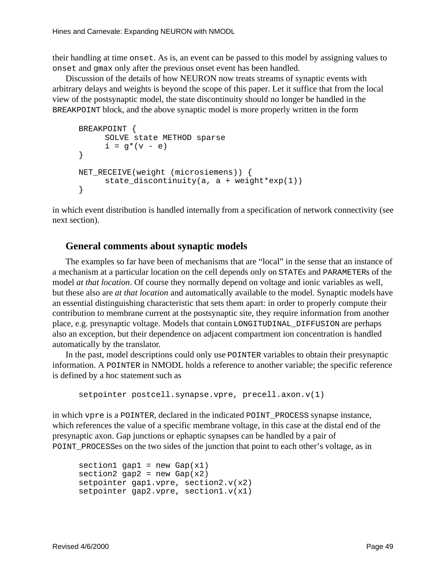their handling at time onset. As is, an event can be passed to this model by assigning values to onset and gmaxonly after the previous onset even thas been handled.

Discussion of the details of how NEURON now treats streams of synaptic events with arbitrary delays and weights is beyond the scope of this paper. Let it suffice that from the local view of the postsynaptic model, the state discontinuity should no longer be handled in the BREAKPOINTblock, and the above synaptic model is more properly written in the form

```
BREAKPOINT {
     SOLVE state METHOD sparse
     i = g^*(v - e)}
NET_RECEIVE(weight (microsiemens)) {
     state_discontinuity(a, a + weight*exp(1))
}
```
in which event distribution is handled internally from a specification of network connectivity (see next section).

## **General comments about synaptic models**

The examples so far have been of mechanisms that are "local" in the sense that an instance of amechanismataparticular location on the cell depends only on STATEs and PARAMETERS of the model *atthat location* . Of course the ynormally depend onvoltage and ionic variables as well, but these also are *at that location* and automatically available to the model. Synaptic models have an essential distinguishing characteristic that sets them apart: in order to properly compute their contribution to membrane current at the postsynaptic site, they require information from another place, e.g. presynaptic voltage. Models that contain LONGITUDINAL\_DIFFUSION are perhaps also an exception, but their dependence on adjacent compartment ion concentration is handled automatically by the translator.

In the past, model descriptions could only use POINTER variables to obtain their presynaptic information. A POINTER in NMODL holds are ference to another variable; the specific reference is defined by a hoc statement such as

```
setpointer postcell.synapse.vpre, precell.axon.v(1)
```
in which vpreisa POINTER, declared in the indicated POINT PROCESS synapse instance, which references the value of a specific membrane voltage, in this case at the distal end of the presynaptic axon. Gap junctions or ephaptic synapses can be handled by a pair of POINT\_PROCESSes on the two sides of the junction that point to each other's voltage, as in

```
section1 gap1 = new Gap(x1)
section2 qap2 = new Gap(x2)setpointer gap1.vpre, section2.v(x2)
setpointer gap2.vpre, section1.v(x1)
```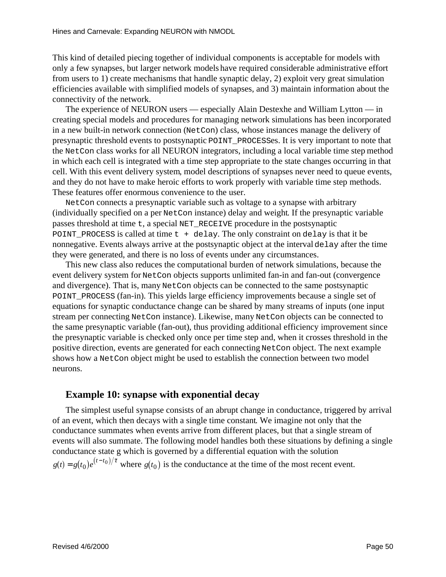This kind of detailed piecing together of individual components is acceptable for models with only a few synapses, but larger network models have required considerable administrative effort from users to 1) create mechanisms that handle synaptic delay, 2) exploit very great simulation efficiencies available with simplified models of synapses, and 3) maintain information about the connectivity of the network.

The experience of NEURON users — especially Alain Destexhe and William Lytton — in creating special models and procedures for managing network simulations has been incorporated in a new built-innetwork connection (NetCon) class, whose instances manage the delivery of presynaptic threshold events to postsynaptic POINT PROCESSES. It is very important to note that the NetConclass works for all NEURON integrators, including a local variable time step method in which each cell is integrated with a time step appropriate to the state changes occurring in that cell. With this event delivery system , model descriptions of synapses never need to queue events, and they donot have to make heroic efforts to work properly with variable times tep methods. These features of ferenormous convenience to the user.

Net Conconnects a presynaptic variable such as voltage to as ynapse with arbitrary  $(individually specified on a per Net coninstance) delay and weight . If the presynaptic variable$ passes threshold at time t, aspecial NET\_RECEIVE procedure in the postsynaptic POINT PROCESS is called at time to + delay. The only constraint on delay is that it be nonnegative. Events always arrive at the postsynaptic object at the interval delay after the time they were generated, and there is no loss of events under any circumstances.

This new class also reduces the computational burden of network simulations, because the event delivery system for Net Conobjects supports unlimited fan-in and fan-out (convergence and divergence). That is, many NetConobjects can be connected to the same posts ynaptic POINT\_PROCESS(fan-in) . This yields large efficiency improvements because as inglese to f equations for synaptic conductance change can be shared by many streams of inputs (one input stream per connecting NetConinstance). Likewise, many NetConobjects can be connected to the same presynaptic variable (fan-out), thus providing additional efficiency improvements ince the presynaptic variable is checked only once per times tep and, when it crosses threshold in the positive direction, events are generated for each connecting NetConobject. The next example showshowa NetConobject might be used to establish the connection between two model neurons.

## **Example 10: synapse with exponential decay**

The simplest useful synapse consists of an abrupt change in conductance, triggered by arrival of an event, which then decays with a single time constant . We imagine not only that the conductance summates when events arrive from different places, but that a single stream of events will also summate. The following model handles both these situations by defining a single conductance stateg which is governed by a differential equation with the solution  $g(t) = g(t_0) e^{(t-t_0)/\tau}$  w  $g(e^{(t-t_0)/\tau})$  where  $g(t_0)$  is the conductance at the time of the most recent event.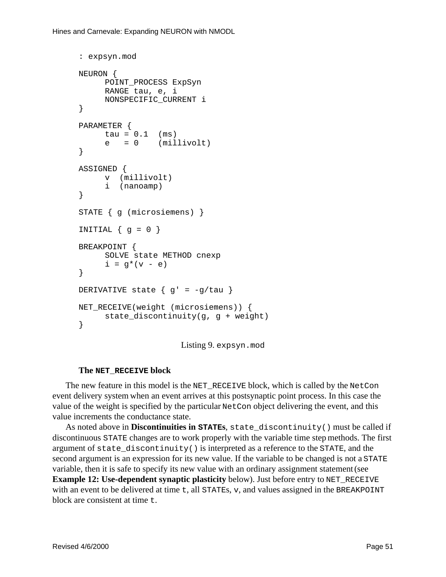```
: expsyn.mod
NEURON {
     POINT_PROCESS ExpSyn
     RANGE tau, e, i
     NONSPECIFIC_CURRENT i
}
PARAMETER {
     tau = 0.1 (ms)
     e = 0 (millivolt)
}
ASSIGNED {
     v (millivolt)
     i (nanoamp)
}
STATE { g (microsiemens) }
INITIAL \{ g = 0 \}BREAKPOINT {
     SOLVE state METHOD cnexp
     i = g*(v - e)}
DERIVATIVE state \{ g' = -g/tau \}NET RECEIVE(weight (microsiemens)) {
     state_discontinuity(g, g + weight)
}
```
Listing9. expsyn.mod

### **The NET\_RECEIVE block**

The new feature in this model is the NET\_RECEIVE block , which is called by the NetCon event delivery system when an eventarrives at this postsynaptic point process. In this case the value of the weight is specified by the particular NetConobject delivering the event, and this value increments the conductance state.

Asnotedabovein **Discontinuitiesin STATES**, state\_discontinuity() mustbecalled if discontinuous STATE changes are to work properly with the variable time step methods. The first argument of state\_discontinuity() is interpreted as a reference to the STATE, and the second argument is an expression for its new value. If the variable to be changed is not a STATE variable, then it is safe to specify its new value with an ordinary assignment statement (see **Example 12: Use-dependent synaptic plasticity** below). Just before entry to NET\_RECEIVE with an event to be delivered at time t, all STATES, v, and values assigned in the BREAKPOINT block are consistent at time t.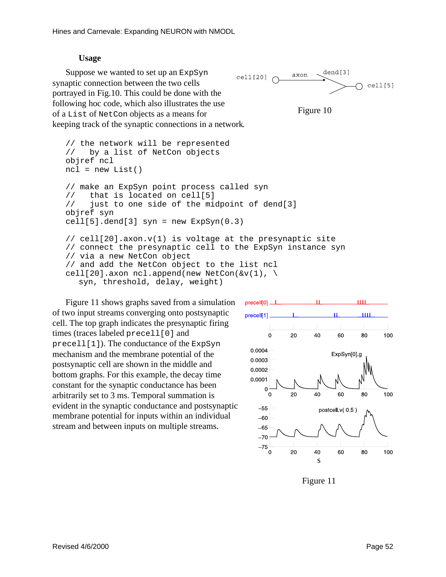### **Usage**

Suppose we wanted to set up an ExpSyn synaptic connection between the two cells portrayed in Fig.10. This could be done with the following hoccode, which also illustrates the use of a List of NetConobjects as a means for keeping track of the synaptic connections in a network

// the network will be represented





```
// by a list of NetCon objects
objref ncl
ncl = new List()// make an ExpSyn point process called syn
// that is located on cell[5]
// just to one side of the midpoint of dend[3]
objref syn
cell[5].dend[3] syn = new ExpSyn(0.3)// cell[20].axon.v(1) is voltage at the presynaptic site
// connect the presynaptic cell to the ExpSyn instance syn
// via a new NetCon object
// and add the NetCon object to the list ncl
cell[20].axon ncl.append(new NetCon(\&v(1), \
  syn, threshold, delay, weight)
```
Figure 11 shows graphs saved from a simulation of two inputs treams converging onto postsynaptic cell. The top graph indicates the presynaptic firing times (traces labeled precell [0] and  $precell[1]$ ). The conductance of the ExpSyn mechanism and the membrane potential of the postsynaptic cellareshown in the middle and bottom graphs. For this example, the decay time constant for the synaptic conductance has been arbitrarily set to 3 ms. Temporal summation is evident in the synaptic conductance and postsynaptic membrane potential for inputs within an individual stream and between inputs on multiple streams.



Figure 11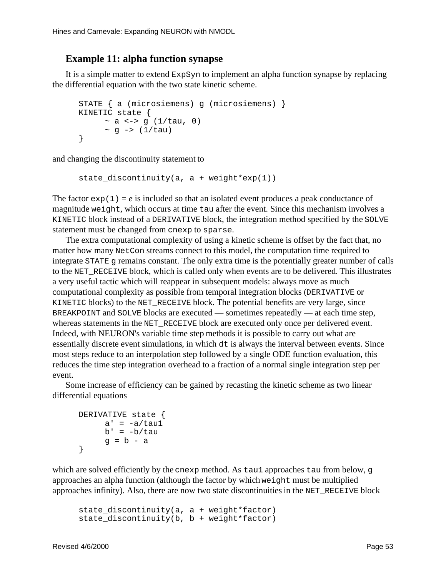## **Example11:alphafunctionsynapse**

Itis a simplematter to expsynom expsyntoim plement analpharmation synapse by replacing the differential equation with the two state kinetic scheme.

```
STATE { a (microsiemens) g (microsiemens) }
KINETIC state {
      \sim a \le \sim \sim (1/tau, 0)~\sim q -> (1/tau)
}
```
and changing the discontinuity statement to

```
state_discontinuity(a, a + weight*exp(1))
```
The factor  $exp(1) = e$  is included so that an isolated event produces a peak conductance of magnitude weight, which occurs at time tau after the event. Since this mechanism involves a KINETIC block instead of a DERIVATIVE block, the integration methods pecified by the SOLVE statement must be changed from cnexp to sparse.

The extra computational complexity of using a kinetic scheme is offset by the fact that, no matter how many Net Constreams connect to this model, the computation time required to integrate STATE gremains constant. The only extratime is the potentially greater number of calls to the NET\_RECEIVE block , which is called only whenevents are to be delivered . This illustrates a very useful tactic which will reappear in subsequent models: always move as much computational complexity as possible from temporal integration blocks (DERIVATIVE or KINETIC blocks) to the NET\_RECEIVE block . The potential benefits are very large, since BREAKPOINT and SOLVE blocks are executed — sometimes repeatedly — at each time step, whereas statements in the NET\_RECEIVE block are executed only once per delivered event. Indeed, with NEURON's variable time step methods it is possible to carry out what are essentially discrete event simulations , in which dt is always the interval between events. Since most steps reduce to an interpolation step followed by a single ODE function evaluation, this reduces the time step integration overhead to a fraction of a normal single integration step per event.

Some increase of efficiency can be gained by recasting the kinetic scheme as two linear differential equations

```
DERIVATIVE state {
    a' = -a/tau1b' = -b/tauq = b - a}
```
which are solved efficiently by the cnexp method . As tau 1 approaches tau from below, q approaches an alpha function (although the factor by which weight must be multiplied approaches infinity). Also, there are now two stated is continuities in the NET\_RECEIVE block

state discontinuity(a,  $a + weight*factor$ ) state\_discontinuity(b, b + weight\*factor)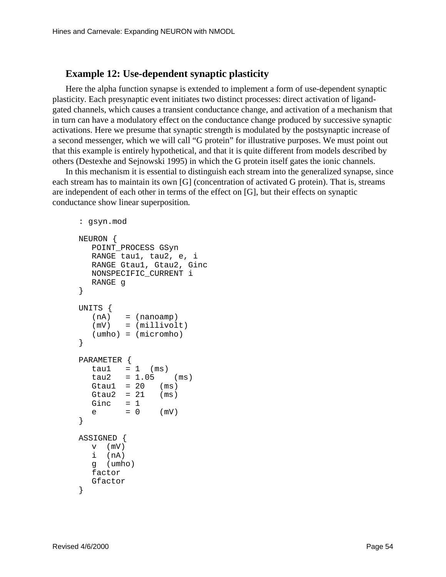## **Example 12: Use-dependent synaptic plasticity**

Here the alpha function synapse is extended to implement a form of use-dependent synaptic plasticity. Each presynaptic event initiates two distinct processes: direct activation of ligandgated channels, which causes a transient conductance change, and activation of a mechanism that inturn can have a modulatory effect on the conductance change produced by successive synaptic activations. Here we presume that synaptic strength is modulated by the postsynaptic increase of asecond messenger, which we will call "G protein" for illustrative purposes. We must point out that this example is entirely hypothetical, and that it is quite different from models described by others (Destexheand Sejnowski 1995) in which the G proteinits elfgates the ionic channels.

In this mechanismitises sential to distinguishe ach stream into the generalized synapse, since each stream has to maintain its own [G] (concentration of activated G protein). That is, streams are independent of each other interms of the effect on [G], but their effects on synaptic conductance show linear superposition.

```
: gsyn.mod
NEURON {
  POINT_PROCESS GSyn
  RANGE tau1, tau2, e, i
  RANGE Gtau1, Gtau2, Ginc
  NONSPECIFIC_CURRENT i
  RANGE g
}
UNITS {
  (nA) = (nanoamp)(mV) = (millivolt)(umho) = (micromho)
}
PARAMETER {
  tau1 = 1 (ms)
  tau2 = 1.05 (ms)
  Gtau1 = 20 (ms)
  Gtau2 = 21 (ms)
  Ginc = 1e = 0 (mV)
}
ASSIGNED {
  v (mV)
  i (nA)
  g (umho)
  factor
  Gfactor
}
```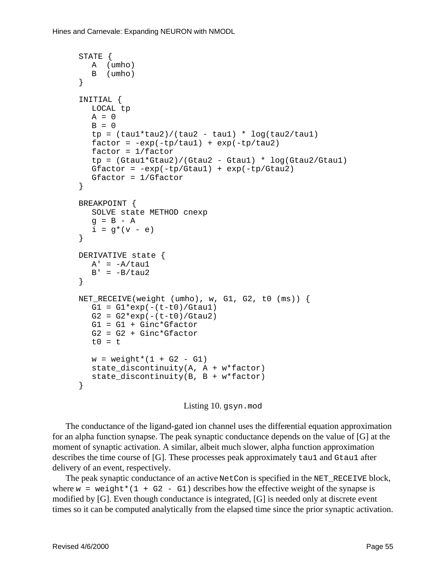```
STATE {
 A (umho)
  B (umho)
}
INITIAL {
  LOCAL tp
  A = 0B = 0tp = (tau1 * tau2) / (tau2 - tau1) * log(tau2 / tau1)factor = -exp(-tp/taul) + exp(-tp/tau2)factor = 1/factortp = (Gtau1*Gtau2)/(Gtau2 - Gtau1) * log(Gtau2/Gtau1)Gfactor = -exp(-tp/Gtau1) + exp(-tp/Gtau2)Gfactor = 1/Gfactor
}
BREAKPOINT {
  SOLVE state METHOD cnexp
  q = B - Ai = g*(v - e)}
DERIVATIVE state {
  A' = -A/taulB' = -B/tau2}
NET_RECEIVE(weight (umho), w, G1, G2, t0 (ms)) {
  G1 = G1*exp(-(t-t0)/Gtau1)G2 = G2*exp(-(t-t0)/Gtau2)G1 = G1 + Ginc*Gfactor
  G2 = G2 + Ginc*Gfactort0 = tw = weight*(1 + G2 - G1)state discontinuity(A, A + w*factor)
  state_discontinuity(B, B + w*factor)
}
```

```
Listing 10. gsyn.mod
```
The conductance of the ligand-gated is nonchannel uses the differ ential equation approximation for analpha function synapse. The peak synaptic conductance depends on the value of [G] at the moment of synaptic activation. A similar, albeit much slower, alpha function approximation describes the time course of [G]. These processes peak approximately tau1 and Gtau1 after delivery of an event, respectively.

The peak synaptic conductance of an active Met Conisspecified in the NET RECEIVE block, where  $w = weight*(1 + G2 - G1)$  describes how the effective weight of the synapse is modified by [G]. Even though conductance is integrated, [G] is needed only at discrete event times soit can be computed analytically from the elapsed times ince the prior synaptic activation.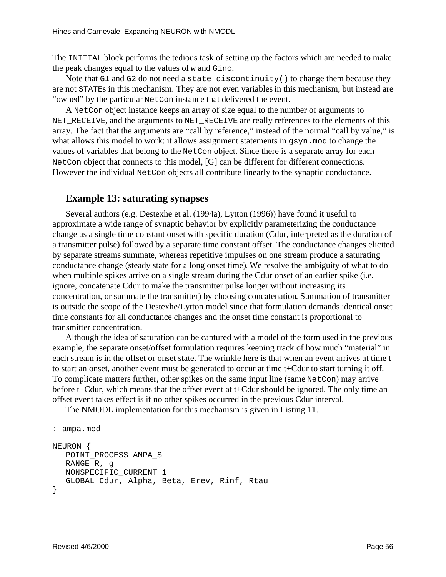The INITIAL block performs the tedious task of setting up the factors which are needed to make the peak changes equal to the values of wand Ginc.

Note that G1 and G2 do not need a state discontinuity () to change them because they are not STATEs in this mechanism . They are not even variables in this mechanism, but instead are "owned" by the particular Net Coninstance that delivered the event.

A Net Conobject instance keeps an array of size equal to the number of arguments to NET\_RECEIVE, and the arguments to NET\_RECEIVE are really references to the elements of this array. The fact that the arguments are "call by reference," instead of the normal "call by value," is what allows this model to work: it allows assignment statements in gsyn. mod to change the values of variables that belong to the NetConobject. Since the reisase parate array for each Net Conobject that connects to this model, [G] can be different for different connections. However the individual Net Conobjects all contribute linearly to the synaptic conductance.

## **Example 13: saturating synapses**

Several authors (e.g. Destexheetal. (1994a), Lytton (1996)) have found it useful to approximate a wide range of synaptic behavior by explicitly parameterizing the conductance change as a single time constant onset with specific duration (Cdur, interpreted as the duration of atransmitter pulse) followed by a separate time constant offset. The conductance changes elicited by separate streams summate, whereas repetitive impulses on one stream produce a saturating conductance change (steady state for a long onset time) We resolve the ambiguity of what to do when multiples pikes arrive on a single stream during the C duronset of an earlier spike (i.e. ignore, concatenate Cdurtomake the transmitter pulse longer without increasing its concentration, or summate the transmitter) by choosing concatenation . Summation of transmitter is outside the scope of the Destexhe/Lytton model since that formulation demands identical onset time constants for all conductance changes and the onset time constant is proportional to transmitter concentration.

Although the idea of saturation can be captured with a mode lofthe form used in the previous example, the separate onset/offset formulation requires keeping track of how much "material" in each stream is in the offset or onset state. The wrinkle here is that when an event arrives at time t to start anonset, another event must be generated to occur at time t+C durt ostart turning it off. To complicate matters further, other spikes on the same input line (same NetCon) may arrive beforet+Cdur, which means that the offset eventat t+Cdur should beignored. The only time an offset event takes effect is if no other spikes occurred in the previous C durinterval.

The NMODL implementation for this mechanism is given in Listing 11.

```
: ampa.mod
NEURON {
  POINT_PROCESS AMPA_S
  RANGE R, g
  NONSPECIFIC_CURRENT i
  GLOBAL Cdur, Alpha, Beta, Erev, Rinf, Rtau
}
```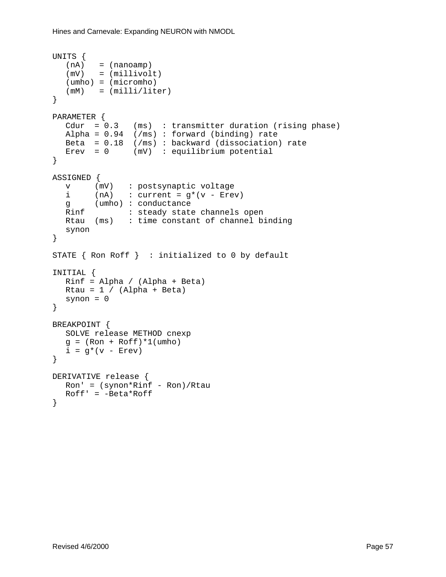#### Hines and Carnevale: Expanding NEURON with NMODL

```
UNITS {
  (nA) = (nanoamp)
  (mV) = (millivolt)
  (umho) = (micromho)
  (mM) = (millil/liter)}
PARAMETER {
  Cdur = 0.3 (ms) : transmitter duration (rising phase)
  Alpha = 0.94 (/ms) : forward (binding) rate
  Beta = 0.18 (/ms) : backward (dissociation) rate
 Erev = 0 (mV) : equilibrium potential
}
ASSIGNED {
  v (mV) : postsynaptic voltage
  i (nA) : current = g^*(v - Erev)g (umho) : conductance
  Rinf : steady state channels open
  Rtau (ms) : time constant of channel binding
  synon
}
STATE { Ron Roff } : initialized to 0 by default
INITIAL {
  Rinf = Alpha / (Alpha + Beta)
 Rtau = 1 / (Alpha + Beta)
 synon = 0}
BREAKPOINT {
  SOLVE release METHOD cnexp
  g = (Ron + Roff)*1(umb)i = g^*(v - Erev)}
DERIVATIVE release {
  Ron' = (symon*Rinf - Ron)/RtauRoff' = -Beta*Roff}
```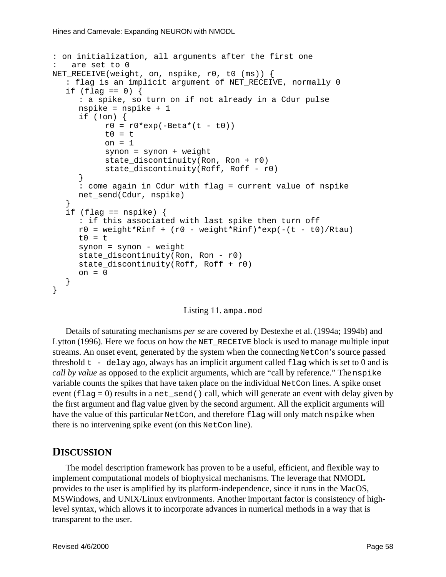```
: on initialization, all arguments after the first one
: are set to 0
NET_RECEIVE(weight, on, nspike, r0, t0 (ms)) {
  : flag is an implicit argument of NET RECEIVE, normally 0
  if (flag == 0) {
     : a spike, so turn on if not already in a Cdur pulse
     nspike = nspike + 1
     if (!on) {
          r0 = r0*exp(-Beta*(t - t0))t0 = ton = 1synon = synon + weight
           state_discontinuity(Ron, Ron + r0)
           state discontinuity(Roff, Roff - r0)
     }
     : come again in Cdur with flag = current value of nspike
     net_send(Cdur, nspike)
  }
  if (flag == nspike) {
     : if this associated with last spike then turn off
     r0 = weight*Rinf + (r0 - weight*Rinf)*exp(-(t - t0)/Rtau)t0 = tsynon = synon - weight
     state discontinuity(Ron, Ron - r0)
     state_discontinuity(Roff, Roff + r0)
     on = 0}
}
```
#### Listing 11. ampa.mod

Details of saturating mechanisms *perse* are covered by Destexheet al. (1994a; 1994b) and Lytton  $(1996)$ . Here we focus on how the NET\_RECEIVE block is used to manage multiple input streams. Anonset event , generated by the system when the connecting NetCon's source passed threshold  $t -$  delayago, always has an implicit argument called flag which is set to 0 and is *call by value* as opposed to the explicit arguments, which are "call by reference." The nspike variable counts the spikes that have taken place on the individual NetCon lines. Aspike onset event  $(flag=0)$  results in a net send () call, which will generate an event with delay given by the first argument and flag value given by the second argument. All the explicit arguments will have the value of this particular NetCon, and therefore flag will only match nspike when there is no intervening spike event (on this NetConline).

## **DISCUSSION**

The model description framework has proven to be a useful, efficient, and flexible way to implement computational models of biophysical mechanisms. The leverage that NMODL provides to the user is amplified by its platform-independence, since it runs in the MacOS, MSWindows, and UNIX/Linux environments. Another important factoris consistency of highlevel syntax, which allows it to incorporate advances in numerical methods in a way that is transparent to the user.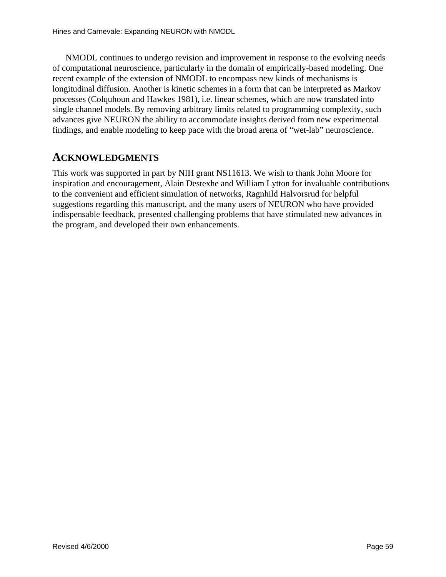NMODL continues to undergorevision and improvement in response to the evolving needs of computational neuroscience, particularly in the domain of empirically-based modeling. One recent example of the extension of NMODL to encompass new kinds of mechanisms is longitudinal diffusion. Another is kinetic schemes in a form that can be interpreted as Markov processes (Colquhoun and Hawkes 1981) , i.e. linear schemes, which are now translated into single channel models. By removing arbitrary limits related to programming complexity, such advances give NEURON the ability to accommodate insights derived from new experimental findings, and enable modeling to keep pace with the broad are naof "wet-lab" neuroscience.

# **ACKNOWLEDGMENTS**

This work was supported in part by NIH grant NS11613. We wish to thank John Moore for inspiration and encouragement, Alain Destexhe and William Lytton for invaluable contributions to the convenient and efficient simulation of networks, Ragnhild Halvorsrud for helpful suggestions regarding this manuscript, and the many users of NEURON who have provided indispensable feedback, presented challenging problems that have stimulated new advances in the program, and developed their own enhancements.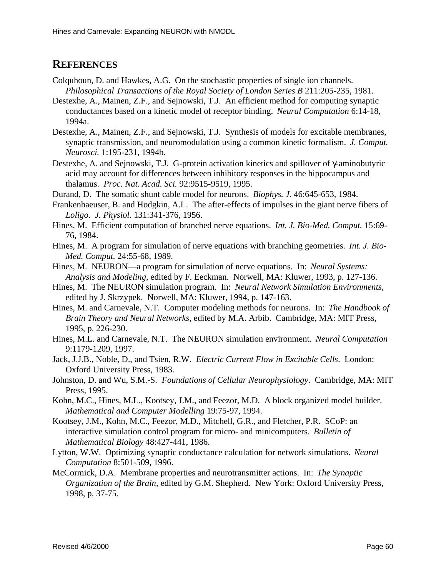# **REFERENCES**

- Colquhoun, D. and Hawkes, A.G. Onthestochastic properties of single ion channels. *Philosophical Transactions of the Royal Society of London Series B* 211:205-235, 1981.
- Destexhe, A., Mainen, Z.F., and Sejnowski, T.J. An efficient method for computing synaptic conductances based on a kinetic model of receptor binding. *Neural Computation* 6:14-18, 1994a.
- Destexhe, A., Mainen, Z.F., and Sejnowski, T.J. Synthesis of models for excitable membranes, synaptic transmission, and neuromodulation using a common kinetic formalism. *J. Comput. Neurosci.* 1:195-231, 1994b.
- Destexhe, A. and Sejnowski, T.J. G-protein activation kinetics and spillover of γ-aminobutyric acid may account for differences between inhibitory responses in the hippocampus and thalamus. *Proc. Nat. Acad. Sci.* 92:9515-9519, 1995.
- Durand, D. The somatic shunt cable model for neurons. *Biophys. J.* 46:645-653, 1984.
- Frankenhaeuser, B. and Hodgkin, A.L. The after-effects of impulses in the giant nerve fibers of *Loligo*. *J. Physiol.* 131:341-376, 1956.
- Hines, M. Efficient computation of branched nerve equations. *Int. J. Bio-Med. Comput.* 15:69-76, 1984.
- Hines, M. A program for simulation of nerve equations with branching geometries. *Int. J. Bio-Med. Comput.* 24:55-68, 1989.
- Hines, M. NEURON—a program for simulation of nerve equations. In: *Neural Systems:* Analysis and *Modeling* , edited by F. Eeckman. Norwell, MA: Kluwer, 1993, p. 127-136.
- Hines, M. The NEURON simulation program. In: *Neural Network Simulation Environments* , edited by J. Skrzypek. Norwell, MA: Kluwer, 1994, p. 147-163.
- Hines, M. and Carnevale, N.T. Computer modeling methods for neurons. In: *The Handbook of* Brain Theory and Neural Networks , edited by M.A. Arbib. Cambridge, MA: MIT Press, 1995, p. 226-230.
- Hines, M.L. and Carnevale, N.T. The NEURON simulation environment. *Neural Computation* 9:1179-1209, 1997.
- Jack, J.J.B., Noble, D., and Tsien, R.W. *Electric Current Flow in Excitable Cells* . London: Oxford University Press, 1983.
- Johnston, D. and Wu, S.M.-S. *Foundations of Cellular Neurophysiology* . Cambridge, MA: MIT Press, 1995.
- Kohn, M.C., Hines, M.L., Kootsey, J.M., and Feezor, M.D. A block organized model builder. *Mathematical and Computer Modelling* 19:75-97, 1994.
- Kootsey, J.M., Kohn, M.C., Feezor, M.D., Mitchell, G.R., and Fletcher, P.R. SCoP: an interactive simulation control program for micro-and minicomputers. *Bulletin of Mathematical Biology* 48:427-441, 1986.
- Lytton, W.W. Optimizing synaptic conductance calculation for network simulations. *Neural Computation* 8:501-509, 1996.
- McCormick, D.A. Membrane properties and neurotransmitter actions. In: *The Synaptic Organization of the Brain* , edited by G.M. Shepherd. New York: Oxford University Press, 1998, p. 37-75.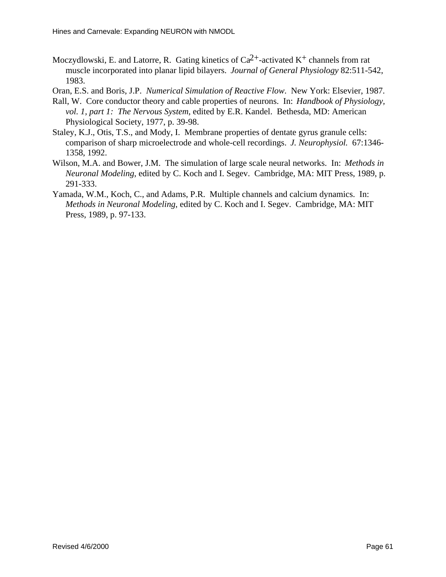Moczydlowski, E. and Latorre, R. Gating kinetics of Ca  $^{2+}$ -activated K  $^{+}$ channels from rat muscle incorporated into planar lipid bilayers. *Journal of General Physiology* 82:511-542, 1983.

Oran, E.S. and Boris, J.P. *Numerical Simulation of Reactive Flow* . New York: Elsevier, 1987.

- Rall, W. Core conductor theory and cable properties of neurons. In: *Handbook of Physiology, vol. 1, part 1: The Nervous System* , edited by E.R. Kandel. Bethesda, MD: American Physiological Society, 1977, p. 39-98.
- Staley, K.J., Otis, T.S., and Mody, I. Membrane properties of dentate gyrus granule cells: comparison of sharp microelectrode and whole-cell recordings. *J. Neurophysiol.* 67:1346- 1358, 1992.
- Wilson, M.A. and Bower, J.M. The simulation of large scale neural networks. In: *Methods in Neuronal Modeling*, edited by C. Koch and I. Segev. Cambridge, MA: MIT Press, 1989, p. 291-333.
- Yamada, W.M., Koch, C., and Adams, P.R. Multiple channels and calcium dynamics. In: *MethodsinNeuronalModeling* ,editedbyC.KochandI.Segev.Cambridge,MA:MIT Press, 1989, p. 97-133.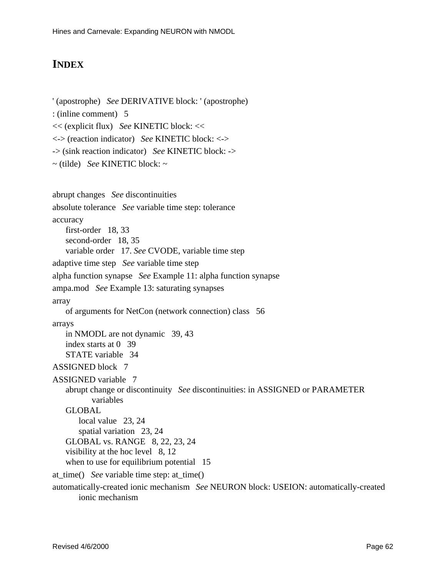'(apostrophe) *See* DERIVATIVE block:'(apostrophe)

# **INDEX**

```
:(inlinecomment)5
<< (explicit flux) See KINETIC block: <<
<-> (reaction indicator) See KINETIC block: <->
-> (sink reaction indicator) See KINETIC block:->
~(tilde) SeeKINETICblock:~
abrupt changes See discontinuities
absolute tolerance See variable times tep: tolerance
accuracy
   first-order 18, 33
   second-order 18, 35
   variable order 17. See CVODE, variable timestep
adaptive timestep See variable timestep
alpha function synapse See Example 11: alpha function synapse
ampa.mod See Example 13: saturating synapses
array
   of arguments for NetCon (network connection) class 56
arrays
   in NMODL are not dynamic 39,43
   index starts at 039
   STATEvariable 34
ASSIGNEDblock7
ASSIGNED variable 7
   abrupt change or discontinuity See discontinuities: in ASSIGNED or PARAMETER
           variables
   GLOBAL
       local value 23, 24
       spatial variation 23, 24
   GLOBAL vs. RANGE 8, 22, 23, 24
   visibility at the hoclevel 8,12
   whentousefor equilibrium potential 15
at_time() Seevariabletimestep:at_time()
automatically-createdionic mechanism See NEURON block: USEION: automatically-created
       ionic mechanism
```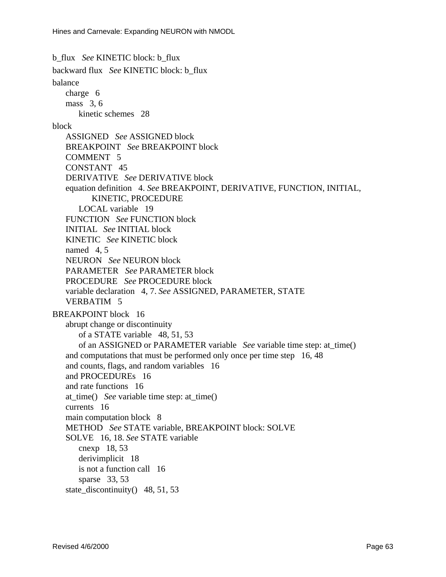b\_flux *See* KINETICblock:b\_flux backwardflux *See* KINETIC block: b flux balance charge<sub>6</sub>  $mass<sub>3.6</sub>$ kinetic schemes 28 block ASSIGNED *See* ASSIGNED block BREAKPOINT SeeBREAKPOINTblock COMMENT5 CONSTANT<sub>45</sub> DERIVATIVE *See* DERIVATIVE block equation definition 4. *See* BREAKPOINT, DERIVATIVE, FUNCTION, INITIAL, KINETIC, PROCEDURE LOCAL variable 19 FUNCTION SeeFUNCTIONblock INITIAL *See* INITIAL block KINETIC SeeKINETICblock  $named4.5$ NEURON SeeNEURONblock PARAMETER *See* PARAMETER block PROCEDURE *See* PROCEDURE block variabledeclaration4,7. SeeASSIGNED, PARAMETER, STATE **VERBATIM5** BREAKPOINTblock16 abruptchangeordiscontinuity of a STATE variable 48.51.53 of an ASSIGNED or PARAMETER variable *See* variable timestep: at time() and computations that must be performed only once per time step 16,48 and counts, flags, and random variables 16 and PROCEDUREs 16 andrate functions 16 at\_time() *See*variable timestep: at\_time() currents 16 main computation block<sup>8</sup> METHOD *See* STATE variable, BREAKPOINT block: SOLVE SOLVE16,18. SeeSTATEvariable  $cnexp18,53$ derivimplicit<sup>18</sup> is notafunction call 16 sparse  $33, 53$ state discontinuity $( )48, 51, 53$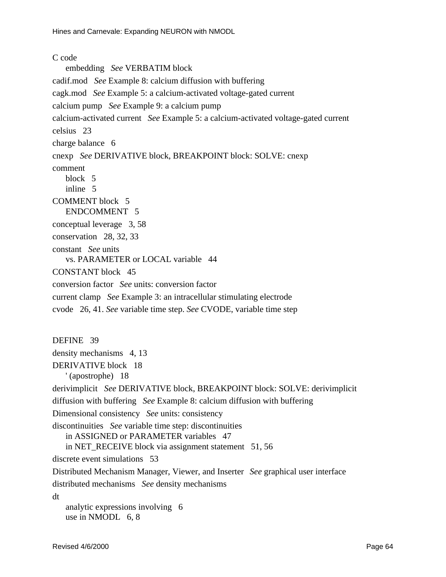## Ccode

embedding *See* VERBATIM block cadif.mod *See* Example 8: calcium diffusion with buffering cagk.mod *See* Example 5: a calcium-activated voltage-gated current calcium pump *See* Example 9: a calcium pump calcium-activated current *See* Example 5: a calcium-activated voltage-gated current celsius 23 chargebalance 6 cnexp *See* DERIVATIVE block, BREAKPOINT block: SOLVE: cnexp comment block<sub>5</sub> inline<sub>5</sub> COMMENTblock5 ENDCOMMENT5 conceptual leverage 3,58 conservation 28, 32, 33 constant *See* units vs. PARAMETER or LOCAL variable 44 CONSTANT block 45 conversion factor *See* units: conversion factor current clamp *See* Example 3: an intracellular stimulating electrode cvode 26, 41. *See* variable time step. *See* CVODE, variable time step DEFINE 39 density mechanisms 4, 13 DERIVATIVE block 18 ' (apostrophe) 18 derivimplicit *See* DERIVATIVE block, BREAKPOINT block: SOLVE: derivimplicit diffusion with buffering *See* Example 8: calcium diffusion with buffering Dimensional consistency *See* units: consistency discontinuities *Seevariabletimestep*: discontinuities in ASSIGNED or PARAMETER variables 47 in NET\_RECEIVE block via assignment statement 51,56 discrete eventsimulations 53 Distributed Mechanism Manager, Viewer, and Inserter *See* graphical user interface distributed mechanisms *See* density mechanisms dt analytic expressions involving 6 usein NMODL6,8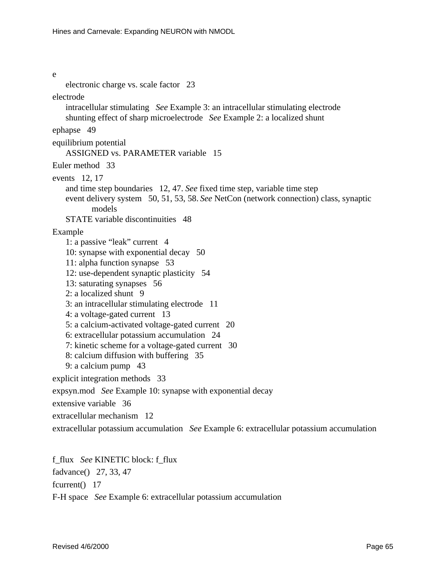e electronic charge vs. scale factor 23 electrode intracellular stimulating *See* Example 3: an intracellular stimulating electrode shunting effect of sharp microelect rode See Example 2: a localized shunt ephapse 49 equilibrium potential ASSIGNED vs. PARAMETER variable 15 Eulermethod 33 events 12, 17 and timestep boundaries 12,47. See fixed timestep, variable timestep event delivery system 50, 51, 53, 58. See NetCon (network connection) class, synaptic models STATE variable discontinuities 48 Example 1: a passive "leak" current 4 10: synapse with exponential decay 50 11: alpha functions ynapse 53 12: use-dependent synaptic plasticity 54 13: saturating synapses 56  $2: a localized shunt9$ 3: an intracellular stimulating electrode 11 4: avoltage-gated current 13 5: a calcium-activated voltage-gated current 20 6: extracellular potassium accumulation 24 7: kineticscheme for a voltage-gated current 30 8: calcium diffusion with buffering 35 9: acalcium pump 43 explicit<br>integration methods 33 expsyn.mod *See* Example 10: synapse with exponential decay extensive variable 36 extracellular mechanism 12 extracellular potassium accumulation *See* Example 6: extracellular potassium accumulation

f\_flux *See* KINETICblock:f\_flux fadvance() 27, 33, 47 fcurrent()17 F-H space *See* Example 6: extracellular potassium accumulation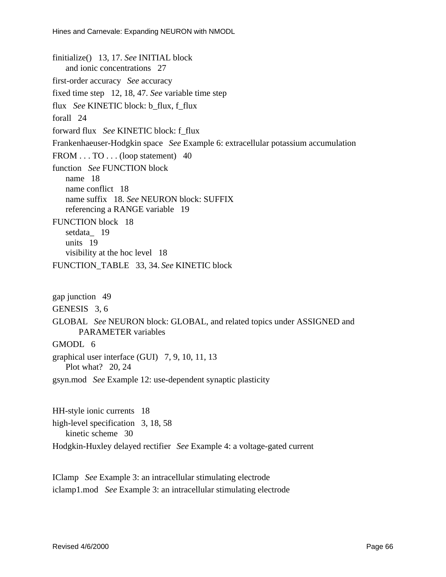finitialize() 13, 17. *See* INITIAL block andionic concentrations 27 first-order accuracy *See* accuracy fixed timestep 12, 18, 47. *See* variable timestep flux *See* KINETIC block: b\_flux, f\_flux forall<sub>24</sub> forwardflux *See* KINETIC block: f flux Frankenhaeuser-Hodgkinspace *See* Example 6: extracellular potassium accumulation FROM...TO...(loopstatement)40 function SeeFUNCTIONblock name 18 name conflict 18 namesuffix18. SeeNEURONblock: SUFFIX referencing a RANGE variable 19 FUNCTION block 18 setdata\_ 19 units 19 visibility at the hoclevel 18 FUNCTION\_TABLE 33, 34. *See* KINETIC block gap junction 49 GENESIS<sub>3,6</sub> GLOBAL SeeNEURONblock:GLOBAL, and related topics under ASSIGNED and PARAMETER variables GMODL<sub>6</sub> graphical user interface (GUI) 7,9,10,11,13

Plot what? 20, 24

gsyn.mod *See*Example12:use-dependentsynaptic plasticity

HH-styleionic currents 18 high-level specification 3, 18, 58 kinetic scheme 30 Hodgkin-Huxley delayed rectifier *See* Example 4: a voltage-gated current

IClamp *See* Example 3: an intracellular stimulating electrode iclamp1.mod *See* Example 3: an intracellular stimulating electrode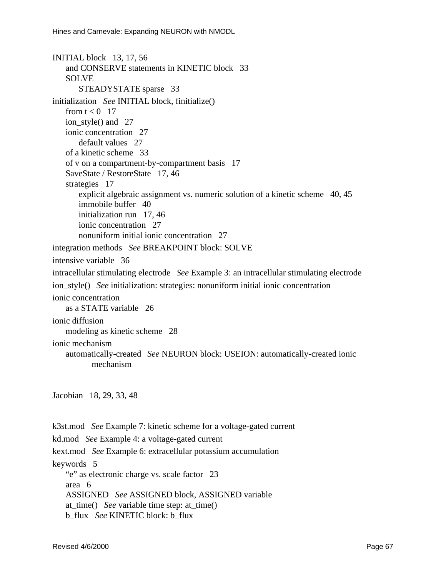```
INITIAL block 13, 17, 56
   and CONSERVE statements in KINETIC block 33
   SOLVE
       STEADYSTATE sparse 33
initialization See INITIAL block, finitialize()
   front < 017ion_style() and 27
   ionic concentration 27
       default values 27
   of a kinetic scheme 33
   of von a compartment-by-compartment basis 17
   SaveState/RestoreState17,46
   strategies 17
       explicit algebraic assignment vs. numerics olution of a kinetic scheme 40,45
       immobile buffer 40
       initialization run 17,46
       ionic concentration 27
       nonuniforminitialionic concentration 27
integration methods See BREAKPOINT block: SOLVE
intensive variable 36
intracellular stimulating electrode See Example 3: an intracellular stimulating electrode
ion_style() Seeinitialization: strategies: nonuniforminitialionic concentration
ionic concentration
   as a STATE variable 26
ionic diffusion
   modeling as kinetic scheme 28
ionic mechanism
   automatically-created SeeNEURONblock: USEION: automatically-createdionic
           mechanism
Jacobian 18, 29, 33, 48
k3st.mod SeeExample7:kineticschemeforavoltage-gated current
kd.mod See Example 4: avoltage-gated current
kext.mod See Example 6: extracellular potassium accumulation
keywords5
   "e" as electronic charge vs. scale factor 23
   area<sub>6</sub>
   ASSIGNED See ASSIGNED block, ASSIGNED variable
   at time() See variable time step: at time()
```

```
b_flux See KINETICblock:b_flux
```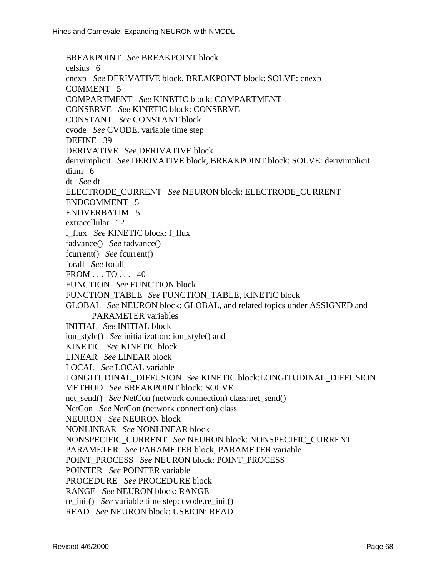BREAKPOINT SeeBREAKPOINTblock celsius<sub>6</sub> cnexp *See* DERIVATIVE block, BREAKPOINT block: SOLVE: cnexp COMMENT5 COMPARTMENT *See* KINETIC block: COMPARTMENT CONSERVE *See* KINETIC block: CONSERVE CONSTANT *See* CONSTANT block cvode *See* CVODE, variable time step DEFINE 39 DERIVATIVE SeeDERIVATIVEblock derivimplicit *See* DERIVATIVE block, BREAKPOINT block: SOLVE: derivimplicit diam<sub>6</sub> dt *See* dt ELECTRODE\_CURRENT SeeNEURONblock:ELECTRODE\_CURRENT ENDCOMMENT5 ENDVERBATIM5 extracellular 12 f\_flux *See* KINETIC block: f\_ flux fadvance() *See* fadvance() fcurrent() *See* fcurrent() forall *See* forall FROM...TO...40 FUNCTION SeeFUNCTIONblock FUNCTION\_TABLE *See* FUNCTION\_TABLE, KINETIC block GLOBAL *SeeNEURONblock:GLOBAL, and related topics under ASSIGNED and* PARAMETER variables INITIAL *See* INITIAL block ion\_style() Seeinitialization:ion\_style()and KINETIC SeeKINETICblock LINEAR *See* LINEAR block LOCAL *See* LOCAL variable LONGITUDINAL\_DIFFUSION *See* KINETIC block:LONGITUDINAL\_DIFFUSION METHOD *See* BREAKPOINT block: SOLVE net\_send() *See*NetCon(network connection) class:net\_send() NetCon *See*NetCon(network connection) class NEURON *See* NEURON block NONLINEAR *See* NONLINEAR block NONSPECIFIC\_CURRENT *See* NEURON block: NONSPECIFIC\_CURRENT PARAMETER *See* PARAMETER block, PARAMETER variable POINT\_PROCESS SeeNEURONblock: POINT\_PROCESS POINTER *See* POINTER variable PROCEDURE *See* PROCEDURE block RANGE SeeNEURONblock: RANGE re init() *Seevariable time step: cvode.re init()* READ *See* NEURON block: USEION: READ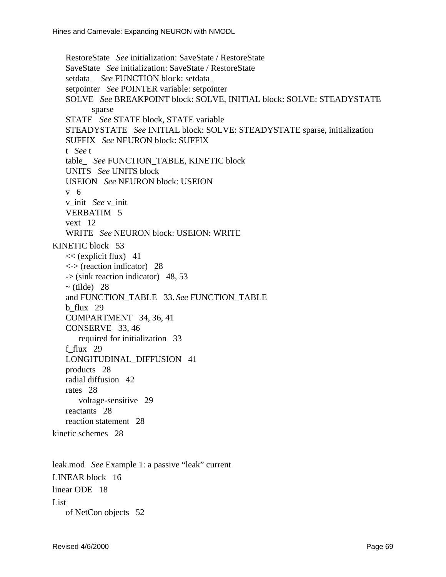RestoreState *See* initialization: SaveState / RestoreState SaveState *See* initialization: SaveState / RestoreState setdata *See* FUNCTION block: setdata setpointer *See* POINTER variable: setpointer SOLVE SeeBREAKPOINTblock:SOLVE,INITIALblock:SOLVE:STEADYSTATE sparse STATE *See* STATE block, STATE variable STEADYSTATE *See* INITIAL block: SOLVE: STEADYSTATE sparse, initialization SUFFIX SeeNEURONblock: SUFFIX t *See* t table SeeFUNCTION TABLE, KINETIC block UNITS SeeUNITSblock USEION SeeNEURONblock: USEION v6 v\_init *See* v\_init **VERBATIM5** vext 12 WRITE *SeeNEURONblock*: USEION: WRITE KINETIC block 53  $<<$ (explicit flux) 41 <-> (reaction indicator) 28 -> (sink reaction indicator) 48,53  $\sim$ (tilde) 28 and FUNCTION TABLE 33. See FUNCTION TABLE b\_flux 29 COMPARTMENT 34, 36, 41 CONSERVE33,46 required for initialization 33 f\_flux 29 LONGITUDINAL\_DIFFUSION 41 products 28 radial diffusion 42 rates 28 voltage-sensitive 29 reactants 28 reaction statement 28 kinetic schemes 28

leak.mod *See* Example 1: a passive "leak" current LINEAR block 16 linearODE18 List ofNetConobjects52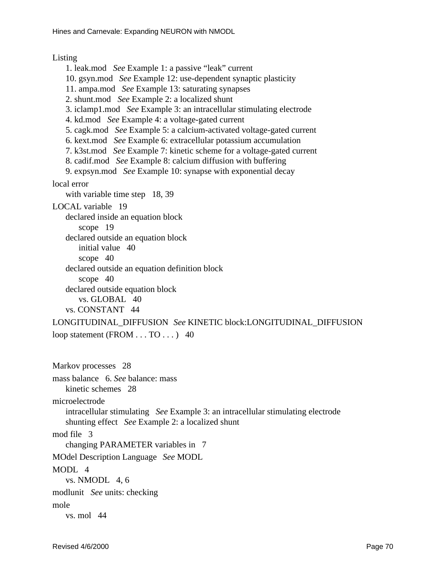## Listing

1. leak.mod *See* Example 1: a passive "leak" current 10.gsyn.mod *See* Example 12: use-dependent synaptic plasticity 11. ampa.mod *See* Example 13: saturating synapses 2.shunt.mod SeeExample2:alocalized shunt 3. iclamp1.mod *See* Example 3: an intracellular stimulating electrode 4.kd.mod *See* Example 4: avoltage-gated current 5. cagk.mod *See* Example 5: a calcium-activated voltage-gated current 6. kext.mod *See* Example 6: extracellular potassium accumulation 7. k3st.mod *See* Example 7: kinetic scheme for a voltage-gated current 8.cadif.mod *See* Example 8: calcium diffusion with buffering 9. expsyn.mod *See* Example 10: synapse with exponential decay local error with variable timestep 18,39 LOCAL variable 19 declared inside an equation block scope<sup>19</sup> declared outside an equation block initial value 40 scope40 declared outside an equation definition block  $scope 40$ declared outside equation block vs. GLOBAL<sub>40</sub> vs. CONSTANT44 LONGITUDINAL\_DIFFUSION SeeKINETICblock:LONGITUDINAL\_DIFFUSION loopstatement (FROM...TO...)40

Markov processes 28 mass balance 6. *See* balance: mass kinetic schemes 28 microelectrode intracellular stimulating *See* Example 3: an intracellular stimulating electrode shunting effect *See* Example 2: a localized shunt modfile3 changing PARAMETER variables in 7 MOdel Description Language *See* MODL  $MODI<sub>A</sub>$ vs. NMODL4,6 modlunit *See* units: checking mole  $vs.$  mol $44$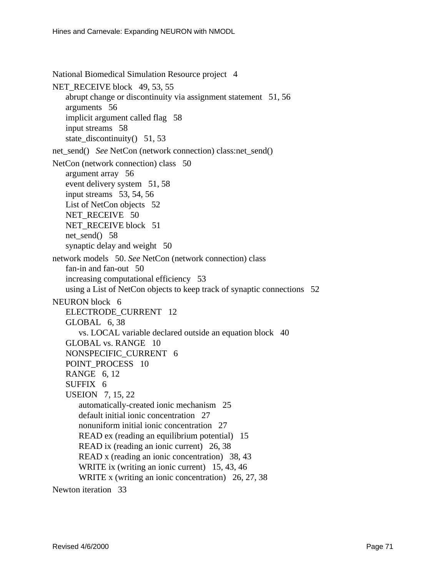National Biomedical Simulation Resource project4

NET\_RECEIVE block 49, 53, 55 abrupt change or discontinuity via assignment statement 51,56 arguments 56 implicitargument called flag 58 input streams 58 state discontinuity $( )51, 53$ 

net\_send() *See*NetCon(network connection) class:net\_send()

NetCon (network connection) class 50

argument array 56 event delivery system 51,58  $inputs$ treams  $53, 54, 56$ ListofNetConobjects52 NET\_RECEIVE50 NET\_RECEIVE block 51 net\_send()58 synaptic delay and weight 50 network models 50. *See* NetCon (network connection) class fan-inand fan-out 50 increasing computational efficiency 53 using a List of NetConobjects to keep track of synaptic connections 52 NEURONblock6 ELECTRODE\_CURRENT 12 GLOBAL6,38

vs. LOCAL variable declared outside an equation block 40 GLOBAL vs. RANGE 10 NONSPECIFIC\_CURRENT 6

POINT\_PROCESS10 **RANGE6.12** 

SUFFIX6 USEION7,15,22

automatically-createdionic mechanism 25

defaultinitialionic concentration 27

nonuniforminitialionic concentration 27

READ ex (reading an equilibrium potential) 15

READix (reading an ionic current) 26,38

READ x (reading an ionic concentration) 38,43

WRITEix (writing anionic current) 15,43,46

WRITEx (writing anionic concentration) 26, 27, 38

Newton iteration 33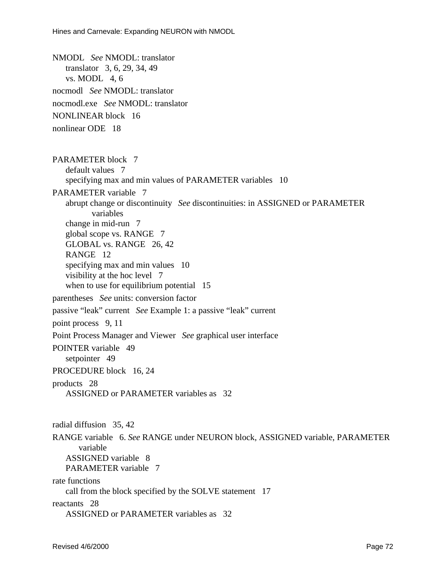NMODL *See* NMODL: translator translator 3, 6, 29, 34, 49  $vs.MODL4.6$ nocmodl *See* NMODL: translator nocmodl.exe *See* NMODL: translator NONLINEAR block 16 nonlinear ODE 18 PARAMETERblock7 default values 7 specifying max and min values of PARAMETER variables 10 PARAMETER variable 7 abruptchangeordiscontinuity *See* discontinuities: in ASSIGNED or PARAMETER variables change in mid-run 7 globalscopevs.RANGE7 GLOBAL vs. RANGE 26,42 RANGE<sub>12</sub> specifying max and min values 10 visibility at the hoclevel 7 whentousefor equilibrium potential 15 parentheses *Seeunits:* conversion factor passive "leak" current *See* Example 1: a passive "leak" current point process 9, 11 Point Process Manager and Viewer *See graphical user interface* POINTER variable 49 setpointer<sub>49</sub> PROCEDURE block 16,24 products 28 ASSIGNED or PARAMETER variables as 32 radial diffusion 35,42 RANGE variable 6. *See* RANGE under NEURON block, ASSIGNED variable, PARAMETER variable ASSIGNED variable 8 PARAMETER variable 7 rate functions call from the block specified by the SOLVE statement 17 reactants 28

ASSIGNED or PARAMETER variables as 32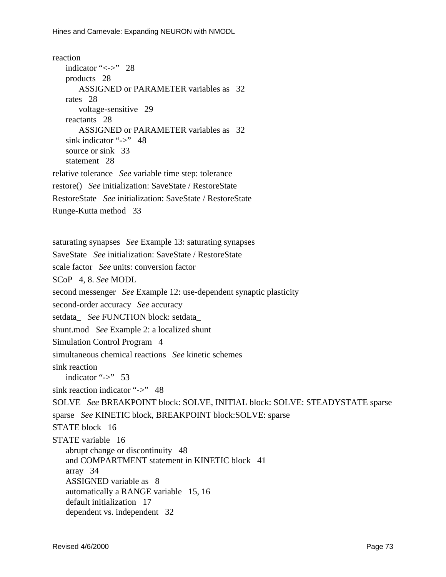```
reaction
   indicator" <- > "28
   products 28
       ASSIGNED or PARAMETER variables as 32
   rates 28
       voltage-sensitive 29
   reactants 28
       ASSIGNED or PARAMETER variables as 32
   sinkindicator"->"48
   source or sink 33
   statement<sub>28</sub>
relative tolerance See variable times tep: tolerance
restore() See initialization: SaveState / RestoreState
RestoreState See initialization: SaveState / RestoreState
Runge-Kutta method 33
saturating synapses See Example 13: saturating synapses
SaveState See initialization: SaveState / RestoreState
scale factor See units: conversion factor
SCoP4.8. SeeMODL
second messenger See Example 12: use-dependent synaptic plasticity
second-order accuracy See accuracy
setdata See FUNCTION block: setdata
shunt.mod See Example 2: a localized shunt
Simulation Control Program 4
simultaneous chemical reactions See kinetic schemes
sink reaction
   indicator"->"53
sink reaction indicator "->"48
SOLVE See BREAKPOINT block: SOLVE, INITIAL block: SOLVE: STEADYSTATE sparse
sparse See KINETICblock, BREAKPOINTblock: SOLVE: sparse
STATEblock16
STATE variable 16
   abruptchange or discontinuity 48
   and COMPARTMENT statement in KINETIC block 41
   array 34
   ASSIGNED variable as 8
   automatically a RANGE variable 15,16
   defaultinitialization 17
   dependentys.independent32
```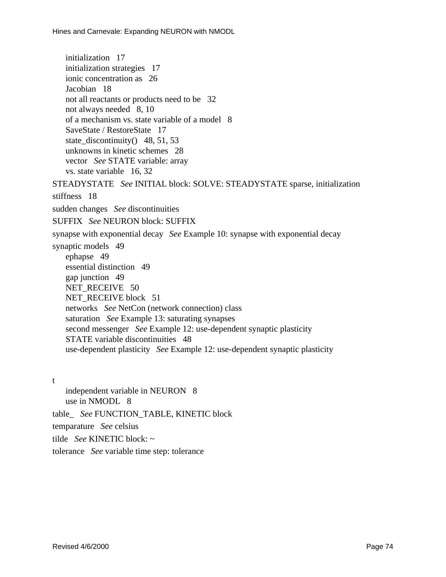initialization 17 initialization strategies 17 ionic concentration as 26 Jacobian 18 not all reactants or products need to be 32 notalways needed 8,10 of a mechanism vs. state variable of a model 8 SaveState/RestoreState17 state\_discontinuity()48,51,53 unknowns in kinetic schemes 28 vector *SeeSTATEvariable: array* vs. state variable 16, 32 STEADYSTATE *SeeINITIALblock:SOLVE:STEADYSTATEsparse,initialization* stiffness 18 sudden changes *See* discontinuities SUFFIX SeeNEURONblock: SUFFIX synapse with exponential decay *See* Example 10: synapse with exponential decay synaptic models 49 ephapse49 essential distinction 49 gapjunction 49 NET\_RECEIVE50 NET\_RECEIVE block 51 networks *See* NetCon (network connection) class saturation *See* Example 13: saturating synapses second messenger *See* Example 12: use-dependent synaptic plasticity STATE variable discontinuities 48 use-dependent plasticity *See* Example 12: use-dependent synaptic plasticity

t

independent variable in NEURON8 usein NMODL8 table\_ SeeFUNCTION\_TABLE, KINETICblock temparature *See* celsius tilde SeeKINETICblock:~ tolerance *Seevariabletimestep:tolerance*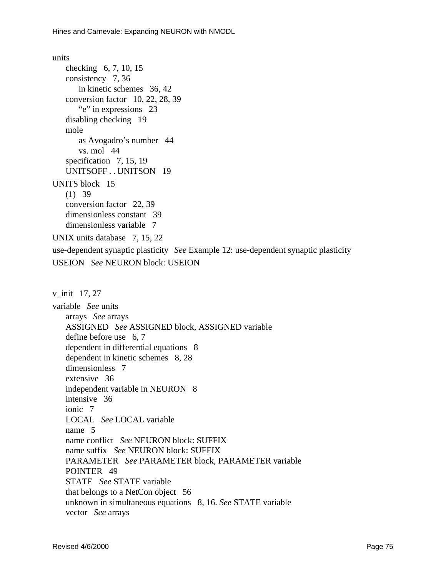## units

```
checking 6, 7, 10, 15consistency 7,36
       inkinetic schemes 36,42
   conversion factor 10, 22, 28, 39
       "e" in expressions 23
   disabling checking 19
   mole
       as Avogadro's number 44
       vs.mol44specification 7, 15, 19
   UNITSOFF... UNITSON19
UNITSblock15
   (1)39conversionfactor 22,39
   dimensionless constant 39
   dimensionless variable 7
UNIX units database 7, 15, 22
use-dependent synaptic plasticity See Example 12: use-dependent synaptic plasticity
USEION SeeNEURONblock: USEION
v init 17, 27variable Seeunits
   arrays See arrays
   ASSIGNED See ASSIGNED block, ASSIGNED variable
   define before use 6,7
```
dependent in differential equations 8

dependent in kinetic schemes 8,28

dimensionless 7

extensive 36

independent variable in NEURON8

intensive 36

ionic<sub>7</sub>

LOCAL *See* LOCAL variable

name<sub>5</sub>

nameconflict *See*NEURONblock: SUFFIX

namesuffix *SeeNEURONblock:SUFFIX* 

PARAMETER *See* PARAMETER block, PARAMETER variable POINTER<sub>49</sub>

STATE SeeSTATEvariable

that belongs to a NetConobject 56

unknown in simultaneous equations 8, 16. *See* STATE variable

vector *See* arrays